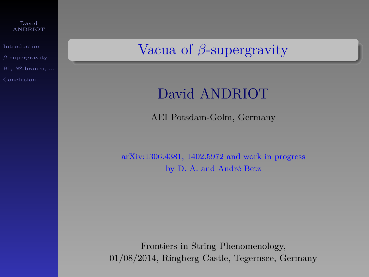| David   |  |
|---------|--|
| ANDRIOT |  |

[Introduction](#page-1-0) BI, *NS*[-branes, ...](#page-67-0) Vacua of *β*-supergravity

# David ANDRIOT

AEI Potsdam-Golm, Germany

arXiv:1306.4381, 1402.5972 and work in progress by D. A. and André Betz

Frontiers in String Phenomenology, 01/08/2014, Ringberg Castle, Tegernsee, Germany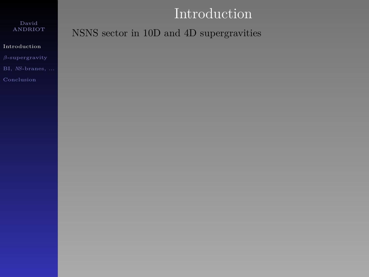# Introduction

## ANDRIOT

### [Introduction](#page-1-0)

BI, *NS*[-branes, ...](#page-67-0)

<span id="page-1-0"></span>

NSNS sector in 10D and 4D supergravities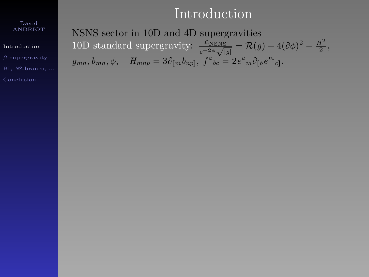# Introduction

#### David ANDRIOT

### [Introduction](#page-1-0)

BI, *NS*[-branes, ...](#page-67-0)

NSNS sector in 10D and 4D supergravities 10D standard supergravity:  $\frac{\mathcal{L}_{NSNS}}{120}$  $\frac{\mathcal{L}_{\text{NSNS}}}{e^{-2\phi}\sqrt{|g|}} = \mathcal{R}(g) + 4(\partial\phi)^2 - \frac{H^2}{2},$  $g_{mn}, b_{mn}, \phi, \quad H_{mnp} = 3\partial_{[m}b_{np]}, f^a{}_{bc} = 2e^a{}_m \partial_{[b}e^m{}_{c]}$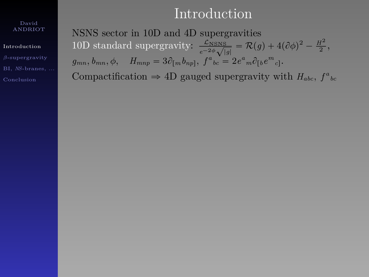# Introduction

#### David ANDRIOT

### [Introduction](#page-1-0)

BI, *NS*[-branes, ...](#page-67-0)

NSNS sector in 10D and 4D supergravities 10D standard supergravity:  $\frac{\mathcal{L}_{NSNS}}{120}$  $\frac{\mathcal{L}_{\text{NSNS}}}{e^{-2\phi}\sqrt{|g|}} = \mathcal{R}(g) + 4(\partial\phi)^2 - \frac{H^2}{2},$  $g_{mn}, b_{mn}, \phi, \quad H_{mnp} = 3\partial_{[m}b_{np]}, f^a{}_{bc} = 2e^a{}_m \partial_{[b}e^m{}_{c]}$ Compactification  $\Rightarrow$  4D gauged supergravity with *H<sub>abc</sub>*,  $f^a{}_{bc}$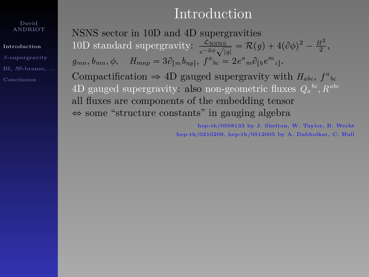#### [Introduction](#page-1-0)

BI, *NS*[-branes, ...](#page-67-0)

# Introduction

NSNS sector in 10D and 4D supergravities 10D standard supergravity:  $\frac{\mathcal{L}_{NSNS}}{120}$  $\frac{\mathcal{L}_{\text{NSNS}}}{e^{-2\phi}\sqrt{|g|}} = \mathcal{R}(g) + 4(\partial\phi)^2 - \frac{H^2}{2},$  $g_{mn}, b_{mn}, \phi, \quad H_{mnp} = 3\partial_{[m}b_{np]}, f^a{}_{bc} = 2e^a{}_m \partial_{[b}e^m{}_{c]}$ Compactification  $\Rightarrow$  4D gauged supergravity with *H<sub>abc</sub>*,  $f^a{}_{bc}$  $4D$  gauged supergravity: also non-geometric fluxes  $Q_a{}^{bc}$ ,  $R^{abc}$ all fluxes are components of the embedding tensor  $\Leftrightarrow$  some "structure constants" in gauging algebra

> hep-th/0508133 by J. Shelton, W. Taylor, B. Wecht hep-th/0210209, hep-th/0512005 by A. Dabholkar, C. Hull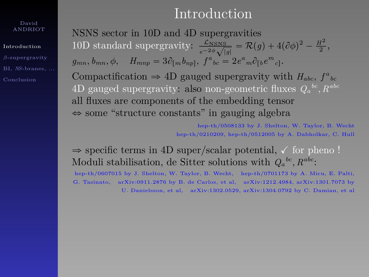[Introduction](#page-1-0)

BI, *NS*[-branes, ...](#page-67-0)

# Introduction

NSNS sector in 10D and 4D supergravities 10D standard supergravity:  $\frac{\mathcal{L}_{NSNS}}{120}$  $\frac{\mathcal{L}_{\text{NSNS}}}{e^{-2\phi}\sqrt{|g|}} = \mathcal{R}(g) + 4(\partial\phi)^2 - \frac{H^2}{2},$  $g_{mn}, b_{mn}, \phi, \quad H_{mnp} = 3\partial_{[m}b_{np]}, f^a{}_{bc} = 2e^a{}_m \partial_{[b}e^m{}_{c]}$ Compactification  $\Rightarrow$  4D gauged supergravity with *H<sub>abc</sub>*,  $f^a{}_{bc}$  $4D$  gauged supergravity: also non-geometric fluxes  $Q_a{}^{bc}$ ,  $R^{abc}$ all fluxes are components of the embedding tensor  $\Leftrightarrow$  some "structure constants" in gauging algebra

> hep-th/0508133 by J. Shelton, W. Taylor, B. Wecht hep-th/0210209, hep-th/0512005 by A. Dabholkar, C. Hull

 $\Rightarrow$  specific terms in 4D super/scalar potential,  $\checkmark$  for pheno ! Moduli stabilisation, de Sitter solutions with  $Q_a{}^{bc}$ ,  $R^{abc}$ :

hep-th/0607015 by J. Shelton, W. Taylor, B. Wecht, hep-th/0701173 by A. Micu, E. Palti, G. Tasinato, arXiv:0911.2876 by B. de Carlos, et al, arXiv:1212.4984, arXiv:1301.7073 by U. Danielsson, et al, arXiv:1302.0529, arXiv:1304.0792 by C. Damian, et al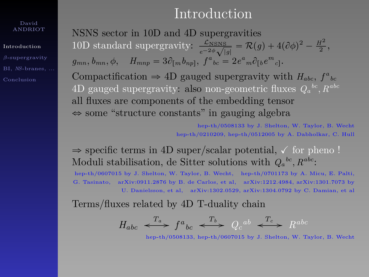[Introduction](#page-1-0)

BI, *NS*[-branes, ...](#page-67-0)

## Introduction

NSNS sector in 10D and 4D supergravities 10D standard supergravity:  $\frac{\mathcal{L}_{NSNS}}{120}$  $\frac{\mathcal{L}_{\text{NSNS}}}{e^{-2\phi}\sqrt{|g|}} = \mathcal{R}(g) + 4(\partial\phi)^2 - \frac{H^2}{2},$  $g_{mn}, b_{mn}, \phi, \quad H_{mnp} = 3\partial_{[m}b_{np]}, f^a{}_{bc} = 2e^a{}_m \partial_{[b}e^m{}_{c]}$ Compactification  $\Rightarrow$  4D gauged supergravity with *H<sub>abc</sub>*,  $f^a{}_{bc}$  $4D$  gauged supergravity: also non-geometric fluxes  $Q_a{}^{bc}$ ,  $R^{abc}$ all fluxes are components of the embedding tensor  $\Leftrightarrow$  some "structure constants" in gauging algebra

> hep-th/0508133 by J. Shelton, W. Taylor, B. Wecht hep-th/0210209, hep-th/0512005 by A. Dabholkar, C. Hull

 $\Rightarrow$  specific terms in 4D super/scalar potential,  $\checkmark$  for pheno ! Moduli stabilisation, de Sitter solutions with  $Q_a{}^{bc}$ ,  $R^{abc}$ :

hep-th/0607015 by J. Shelton, W. Taylor, B. Wecht, hep-th/0701173 by A. Micu, E. Palti, G. Tasinato, arXiv:0911.2876 by B. de Carlos, et al, arXiv:1212.4984, arXiv:1301.7073 by U. Danielsson, et al, arXiv:1302.0529, arXiv:1304.0792 by C. Damian, et al

Terms/fluxes related by 4D T-duality chain

$$
H_{abc} \xrightarrow{T_a} f^a{}_{bc} \xrightarrow{T_b} Q_c{}^{ab} \xrightarrow{T_c} R^{abc}
$$

hep-th/0508133, hep-th/0607015 by J. Shelton, W. Taylor, B. Wecht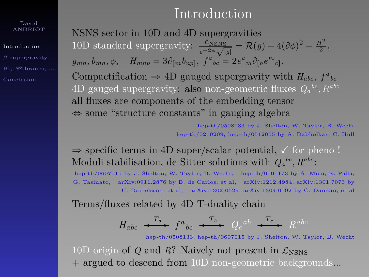[Introduction](#page-1-0)

BI, *NS*[-branes, ...](#page-67-0)

## Introduction

NSNS sector in 10D and 4D supergravities 10D standard supergravity:  $\frac{\mathcal{L}_{NSNS}}{120}$  $\frac{\mathcal{L}_{\text{NSNS}}}{e^{-2\phi}\sqrt{|g|}} = \mathcal{R}(g) + 4(\partial\phi)^2 - \frac{H^2}{2},$  $g_{mn}, b_{mn}, \phi, \quad H_{mnp} = 3\partial_{[m}b_{np]}, f^a{}_{bc} = 2e^a{}_m \partial_{[b}e^m{}_{c]}$ Compactification  $\Rightarrow$  4D gauged supergravity with *H<sub>abc</sub>*,  $f^a{}_{bc}$  $4D$  gauged supergravity: also non-geometric fluxes  $Q_a{}^{bc}$ ,  $R^{abc}$ all fluxes are components of the embedding tensor  $\Leftrightarrow$  some "structure constants" in gauging algebra

> hep-th/0508133 by J. Shelton, W. Taylor, B. Wecht hep-th/0210209, hep-th/0512005 by A. Dabholkar, C. Hull

 $\Rightarrow$  specific terms in 4D super/scalar potential,  $\checkmark$  for pheno ! Moduli stabilisation, de Sitter solutions with  $Q_a{}^{bc}$ ,  $R^{abc}$ :

hep-th/0607015 by J. Shelton, W. Taylor, B. Wecht, hep-th/0701173 by A. Micu, E. Palti, G. Tasinato, arXiv:0911.2876 by B. de Carlos, et al, arXiv:1212.4984, arXiv:1301.7073 by U. Danielsson, et al, arXiv:1302.0529, arXiv:1304.0792 by C. Damian, et al

Terms/fluxes related by 4D T-duality chain

$$
H_{abc} \iff f^a{}_{bc} \iff Q_c{}^{ab} \iff R^{abc}
$$

hep-th/0508133, hep-th/0607015 by J. Shelton, W. Taylor, B. Wecht

10D origin of *Q* and *R*? Naively not present in  $\mathcal{L}_{\text{NSNS}}$ + argued to descend from 10D non-geometric backgrounds...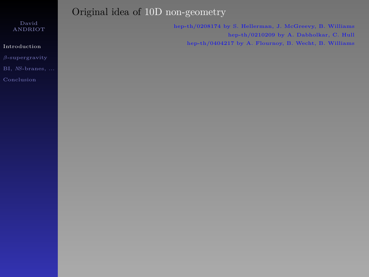### [Introduction](#page-1-0)

BI, *NS*[-branes, ...](#page-67-0)

## Original idea of 10D non-geometry

hep-th/0208174 by S. Hellerman, J. McGreevy, B. Williams hep-th/0210209 by A. Dabholkar, C. Hull hep-th/0404217 by A. Flournoy, B. Wecht, B. Williams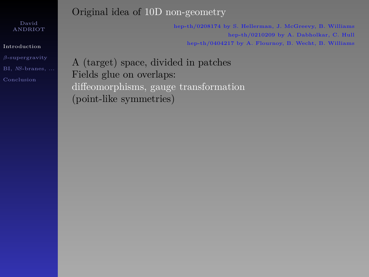### [Introduction](#page-1-0)

BI, *NS*[-branes, ...](#page-67-0)

## Original idea of 10D non-geometry

hep-th/0208174 by S. Hellerman, J. McGreevy, B. Williams hep-th/0210209 by A. Dabholkar, C. Hull hep-th/0404217 by A. Flournoy, B. Wecht, B. Williams

A (target) space, divided in patches Fields glue on overlaps: diffeomorphisms, gauge transformation (point-like symmetries)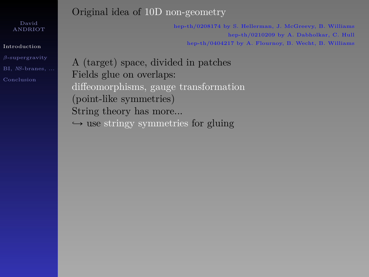### [Introduction](#page-1-0)

BI, *NS*[-branes, ...](#page-67-0)

## Original idea of 10D non-geometry

hep-th/0208174 by S. Hellerman, J. McGreevy, B. Williams hep-th/0210209 by A. Dabholkar, C. Hull hep-th/0404217 by A. Flournoy, B. Wecht, B. Williams

A (target) space, divided in patches Fields glue on overlaps: diffeomorphisms, gauge transformation (point-like symmetries) String theory has more...  $ightharpoonup$  use stringy symmetries for gluing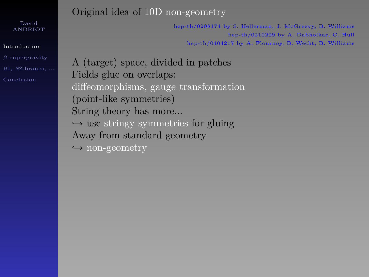#### [Introduction](#page-1-0)

BI, *NS*[-branes, ...](#page-67-0)

## Original idea of 10D non-geometry

hep-th/0208174 by S. Hellerman, J. McGreevy, B. Williams hep-th/0210209 by A. Dabholkar, C. Hull hep-th/0404217 by A. Flournoy, B. Wecht, B. Williams

A (target) space, divided in patches Fields glue on overlaps: diffeomorphisms, gauge transformation (point-like symmetries) String theory has more...  $ightharpoonup$  use stringy symmetries for gluing Away from standard geometry  $\rightarrow$  non-geometry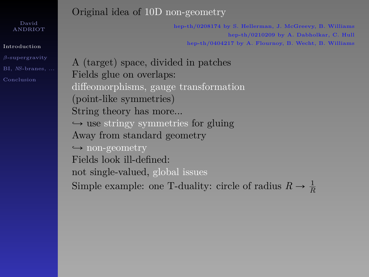### [Introduction](#page-1-0)

BI, *NS*[-branes, ...](#page-67-0)

## Original idea of 10D non-geometry

hep-th/0208174 by S. Hellerman, J. McGreevy, B. Williams hep-th/0210209 by A. Dabholkar, C. Hull hep-th/0404217 by A. Flournoy, B. Wecht, B. Williams

A (target) space, divided in patches Fields glue on overlaps: diffeomorphisms, gauge transformation (point-like symmetries) String theory has more...  $ightharpoonup$  use stringy symmetries for gluing Away from standard geometry  $\rightarrow$  non-geometry Fields look ill-defined: not single-valued, global issues Simple example: one T-duality: circle of radius  $R \to \frac{1}{R}$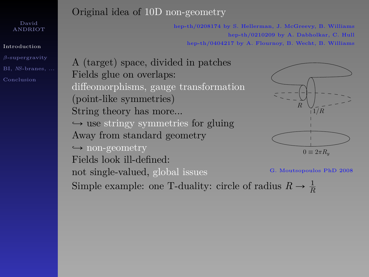#### [Introduction](#page-1-0)

BI, *NS*[-branes, ...](#page-67-0)

## Original idea of 10D non-geometry

hep-th/0208174 by S. Hellerman, J. McGreevy, B. Williams hep-th/0210209 by A. Dabholkar, C. Hull hep-th/0404217 by A. Flournoy, B. Wecht, B. Williams

A (target) space, divided in patches Fields glue on overlaps: diffeomorphisms, gauge transformation (point-like symmetries) String theory has more...  $\rightarrow$  use stringy symmetries for gluing Away from standard geometry  $\rightarrow$  non-geometry Fields look ill-defined: not single-valued, global issues Figure 8.2: One cannot describe a smooth target space for such a smooth target space for such a CFT  $\rm G$  . Moutsopoulos PhD 2008





Simple example: one T-duality: circle of radius  $R \to \frac{1}{R}$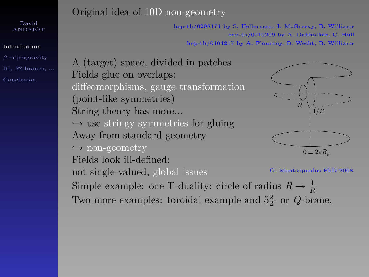#### [Introduction](#page-1-0)

BI, *NS*[-branes, ...](#page-67-0)

## Original idea of 10D non-geometry

hep-th/0208174 by S. Hellerman, J. McGreevy, B. Williams hep-th/0210209 by A. Dabholkar, C. Hull hep-th/0404217 by A. Flournoy, B. Wecht, B. Williams

A (target) space, divided in patches Fields glue on overlaps: diffeomorphisms, gauge transformation (point-like symmetries) String theory has more...  $ightharpoonup$  use stringy symmetries for gluing Away from standard geometry  $\rightarrow$  non-geometry Fields look ill-defined: not single-valued, global issues Figure 8.2: One cannot describe a smooth target space for such a smooth target space for such a CFT  $\rm G$  . Moutsopoulos PhD 2008 Simple example: one T-duality: circle of radius  $R \to \frac{1}{R}$ Two more examples: toroidal example and  $5<sub>2</sub><sup>2</sup>$  or  $Q$ -brane.





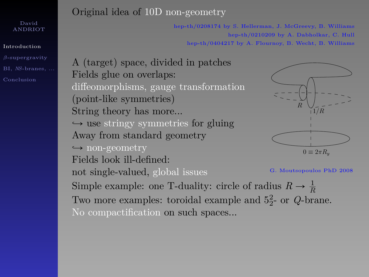#### [Introduction](#page-1-0)

BI, *NS*[-branes, ...](#page-67-0)

### Original idea of 10D non-geometry

hep-th/0208174 by S. Hellerman, J. McGreevy, B. Williams hep-th/0210209 by A. Dabholkar, C. Hull hep-th/0404217 by A. Flournoy, B. Wecht, B. Williams

A (target) space, divided in patches Fields glue on overlaps: diffeomorphisms, gauge transformation (point-like symmetries) String theory has more...  $ightharpoonup$  use stringy symmetries for gluing Away from standard geometry  $\rightarrow$  non-geometry Fields look ill-defined: not single-valued, global issues R Figure 8.2: One cannot describe a smooth target space for such a smooth target space for such a CFT  $\rm G$  . Moutsopoulos PhD 2008 Simple example: one T-duality: circle of radius  $R \to \frac{1}{R}$ Two more examples: toroidal example and  $5<sub>2</sub><sup>2</sup>$  or  $Q$ -brane. No compactification on such spaces...



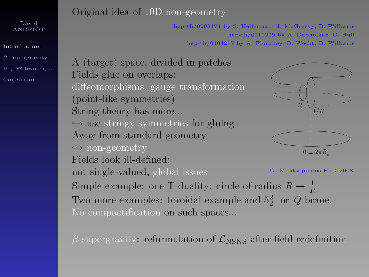#### [Introduction](#page-1-0)

BI, *NS*[-branes, ...](#page-67-0)

## Original idea of 10D non-geometry

hep-th/0208174 by S. Hellerman, J. McGreevy, B. Williams hep-th/0210209 by A. Dabholkar, C. Hull hep-th/0404217 by A. Flournoy, B. Wecht, B. Williams

1/R

A (target) space, divided in patches Fields glue on overlaps: diffeomorphisms, gauge transformation (point-like symmetries) String theory has more...  $ightharpoonup$  use stringy symmetries for gluing Away from standard geometry  $\rightarrow$  non-geometry Fields look ill-defined: not single-valued, global issues  $0 \equiv 2\pi R_v$ R Figure 8.2: One cannot describe a smooth target space for such a smooth target space for such a CFT  $\rm G$  . Moutsopoulos PhD 2008 Simple example: one T-duality: circle of radius  $R \to \frac{1}{R}$ Two more examples: toroidal example and  $5<sub>2</sub><sup>2</sup>$  or  $Q$ -brane. No compactification on such spaces...

 $\beta$ -supergravity: reformulation of  $\mathcal{L}_{\text{NSNS}}$  after field redefinition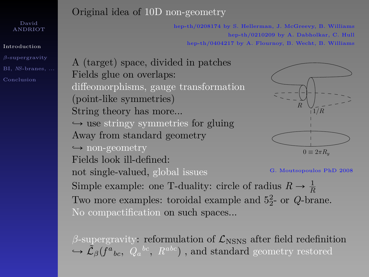#### [Introduction](#page-1-0)

BI, *NS*[-branes, ...](#page-67-0)

## Original idea of 10D non-geometry

hep-th/0208174 by S. Hellerman, J. McGreevy, B. Williams hep-th/0210209 by A. Dabholkar, C. Hull hep-th/0404217 by A. Flournoy, B. Wecht, B. Williams

1/R

A (target) space, divided in patches Fields glue on overlaps: diffeomorphisms, gauge transformation (point-like symmetries) String theory has more...  $\rightarrow$  use stringy symmetries for gluing Away from standard geometry  $\rightarrow$  non-geometry Fields look ill-defined: not single-valued, global issues  $0 \equiv 2\pi R_v$ R Figure 8.2: One cannot describe a smooth target space for such a smooth target space for such a CFT  $\rm G$  . Moutsopoulos PhD 2008 Simple example: one T-duality: circle of radius  $R \to \frac{1}{R}$ Two more examples: toroidal example and  $5<sub>2</sub><sup>2</sup>$  or  $Q$ -brane. No compactification on such spaces...

 $β$ -supergravity: reformulation of  $\mathcal{L}_{NSNS}$  after field redefinition  $\tilde{\mathcal{L}}_{\beta}(f^a{}_{bc}, \ \tilde{Q}_a{}^{bc}, \ R^{abc})$  , and standard geometry restored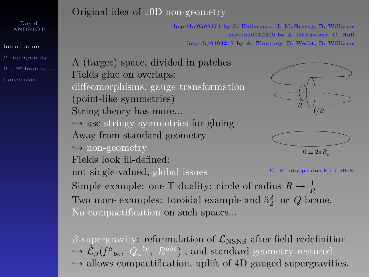#### [Introduction](#page-1-0)

BI, *NS*[-branes, ...](#page-67-0)

## Original idea of 10D non-geometry

hep-th/0208174 by S. Hellerman, J. McGreevy, B. Williams hep-th/0210209 by A. Dabholkar, C. Hull hep-th/0404217 by A. Flournoy, B. Wecht, B. Williams

1/R

A (target) space, divided in patches Fields glue on overlaps: diffeomorphisms, gauge transformation (point-like symmetries) String theory has more...  $ightharpoonup$  use stringy symmetries for gluing Away from standard geometry  $\rightarrow$  non-geometry Fields look ill-defined: not single-valued, global issues  $0 \equiv 2\pi R_v$ R Figure 8.2: One cannot describe a smooth target space for such a smooth target space for such a CFT  $\rm G$  . Moutsopoulos PhD 2008 Simple example: one T-duality: circle of radius  $R \to \frac{1}{R}$ Two more examples: toroidal example and  $5<sub>2</sub><sup>2</sup>$  or  $Q$ -brane. No compactification on such spaces...

 $β$ -supergravity: reformulation of  $\mathcal{L}_{NSNS}$  after field redefinition  $\tilde{\mathcal{L}}_{\beta}(f^a{}_{bc}, \ \tilde{Q}_a{}^{bc}, \ R^{abc})$  , and standard geometry restored  $\rightarrow$  allows compactification, uplift of 4D gauged supergravities.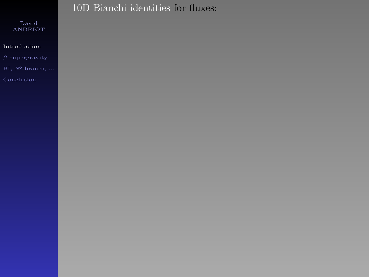### [Introduction](#page-1-0)

## 10D Bianchi identities for fluxes: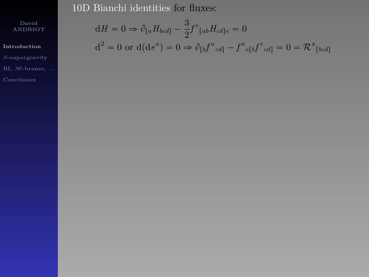10D Bianchi identities for fluxes:

David ANDRIOT

### [Introduction](#page-1-0)

$$
dH = 0 \Rightarrow \partial_{[a}H_{bcd]} - \frac{3}{2}f^e_{[ab}H_{cd]e} = 0
$$

$$
d^{2} = 0 \text{ or } d(de^{a}) = 0 \Rightarrow \partial_{[b}f^{a}{}_{cd]} - f^{a}{}_{e[b}f^{e}{}_{cd]} = 0 = \mathcal{R}^{a}{}_{[bcd]}
$$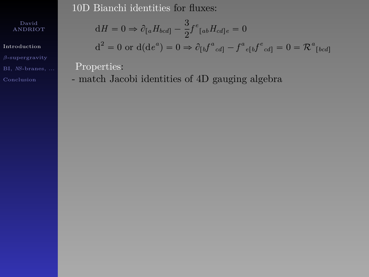ANDRIOT

[Introduction](#page-1-0)

BI, *NS*[-branes, ...](#page-67-0)

10D Bianchi identities for fluxes:

$$
dH = 0 \Rightarrow \partial_{[a} H_{bcd]} - \frac{3}{2} f^e_{[ab} H_{cd]e} = 0
$$

$$
d^2 = 0
$$
 or  $d(de^a) = 0 \Rightarrow \partial_{[b}f^a{}_{cd]} - f^a{}_{e[b}f^e{}_{cd]} = 0 = \mathcal{R}^a{}_{[bcd]}$ 

Properties:

- match Jacobi identities of 4D gauging algebra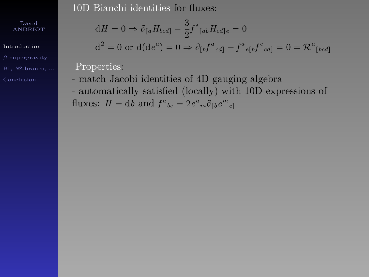[Introduction](#page-1-0)

BI, *NS*[-branes, ...](#page-67-0)

10D Bianchi identities for fluxes:

$$
dH = 0 \Rightarrow \partial_{[a}H_{bcd]} - \frac{3}{2}f^e_{[ab}H_{cd]e} = 0
$$
  

$$
d^2 = 0 \text{ or } d(de^a) = 0 \Rightarrow \partial_{[b}f^a_{cd]} - f^a_{e[b}f^e_{cd]} = 0 = \mathcal{R}^a_{[bcd]}
$$

Properties:

- match Jacobi identities of 4D gauging algebra - automatically satisfied (locally) with 10D expressions of fluxes:  $H = db$  and  $f^{a}_{bc} = 2e^{a}_{m}\partial_{[b}e^{m}_{c]}$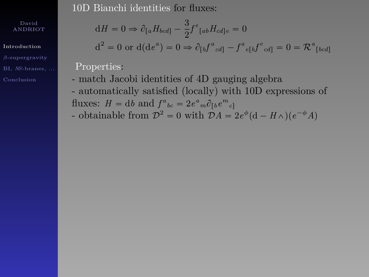[Introduction](#page-1-0)

BI, *NS*[-branes, ...](#page-67-0)

10D Bianchi identities for fluxes:

$$
dH = 0 \Rightarrow \partial_{[a}H_{bcd]} - \frac{3}{2}f^e_{[ab}H_{cd]e} = 0
$$
  

$$
d^2 = 0 \text{ or } d(de^a) = 0 \Rightarrow \partial_{\alpha} f^a_{[a} \circ f^e_{[a} + f^e_{[a} + 0]]
$$

$$
d^2 = 0
$$
 or  $d(de^a) = 0 \Rightarrow \partial_{[b}f^a_{cd]} - f^a_{e[b}f^e_{cd]} = 0 = \mathcal{R}^a_{[bcd]}$ 

Properties:

- match Jacobi identities of 4D gauging algebra - automatically satisfied (locally) with 10D expressions of fluxes:  $H = db$  and  $f^{a}_{bc} = 2e^{a}_{m}\partial_{[b}e^{m}_{c]}$
- obtainable from  $\mathcal{D}^2 = 0$  with  $\mathcal{D}A = 2e^{\phi}(\mathbf{d} H\wedge)(e^{-\phi}A)$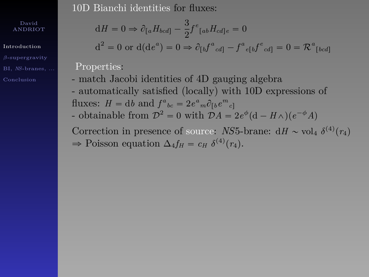[Introduction](#page-1-0)

BI, *NS*[-branes, ...](#page-67-0)

10D Bianchi identities for fluxes:

$$
dH = 0 \Rightarrow \partial_{[a}H_{bcd]} - \frac{3}{2}f^e_{[ab}H_{cd]e} = 0
$$
  

$$
d^2 = 0 \text{ or } d(de^a) = 0 \Rightarrow \partial_{[b}f^a_{cd]} - f^a_{e[b}f^e_{cd]} = 0 = \mathcal{R}^a_{[bcd]}
$$

Properties:

- match Jacobi identities of 4D gauging algebra - automatically satisfied (locally) with 10D expressions of fluxes:  $H = db$  and  $f^{a}_{bc} = 2e^{a}_{m}\partial_{[b}e^{m}_{c]}$ 

- obtainable from  $\mathcal{D}^2 = 0$  with  $\mathcal{D}A = 2e^{\phi}(\mathbf{d} - H\wedge)(e^{-\phi}A)$ 

Correction in presence of source: *NS*5-brane:  $dH \sim \text{vol}_4 \delta^{(4)}(r_4)$  $\Rightarrow$  Poisson equation  $\Delta_4 f_H = c_H \delta^{(4)}(r_4)$ .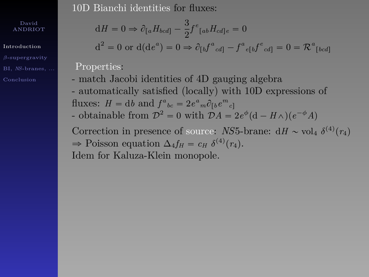[Introduction](#page-1-0)

BI, *NS*[-branes, ...](#page-67-0)

10D Bianchi identities for fluxes:

$$
dH = 0 \Rightarrow \partial_{[a}H_{bcd]} - \frac{3}{2}f^e_{[ab}H_{cd]e} = 0
$$
  

$$
d^2 = 0 \text{ or } d(de^a) = 0 \Rightarrow \partial_{[b}f^a_{cd]} - f^a_{e[b}f^e_{cd]} = 0 = \mathcal{R}^a_{[bcd]}
$$

Properties:

- match Jacobi identities of 4D gauging algebra - automatically satisfied (locally) with 10D expressions of fluxes:  $H = db$  and  $f^{a}_{bc} = 2e^{a}_{m}\partial_{[b}e^{m}_{c]}$ - obtainable from  $\mathcal{D}^2 = 0$  with  $\mathcal{D}A = 2e^{\phi}(\mathbf{d} - H\wedge)(e^{-\phi}A)$ 

Correction in presence of source: *NS*5-brane:  $dH \sim \text{vol}_4 \delta^{(4)}(r_4)$  $\Rightarrow$  Poisson equation  $\Delta_4 f_H = c_H \delta^{(4)}(r_4)$ . Idem for Kaluza-Klein monopole.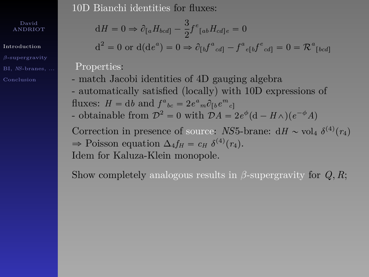[Introduction](#page-1-0)

BI, *NS*[-branes, ...](#page-67-0)

10D Bianchi identities for fluxes:

$$
dH = 0 \Rightarrow \partial_{[a}H_{bcd]} - \frac{3}{2}f^e_{[ab}H_{cd]e} = 0
$$
  

$$
d^2 = 0 \text{ or } d(de^a) = 0 \Rightarrow \partial_{[b}f^a_{cd]} - f^a_{e[b}f^e_{cd]} = 0 = \mathcal{R}^a_{[bc]}
$$

 $d\bar{l}$ 

Properties:

- match Jacobi identities of 4D gauging algebra - automatically satisfied (locally) with 10D expressions of fluxes:  $H = db$  and  $f^{a}_{bc} = 2e^{a}_{m}\partial_{[b}e^{m}_{c]}$ - obtainable from  $\mathcal{D}^2 = 0$  with  $\mathcal{D}A = 2e^{\phi}(\mathbf{d} - H\wedge)(e^{-\phi}A)$ 

Correction in presence of source: *NS*5-brane:  $dH \sim \text{vol}_4 \delta^{(4)}(r_4)$  $\Rightarrow$  Poisson equation  $\Delta_4 f_H = c_H \delta^{(4)}(r_4)$ . Idem for Kaluza-Klein monopole.

Show completely analogous results in  $\beta$ -supergravity for  $Q, R$ ;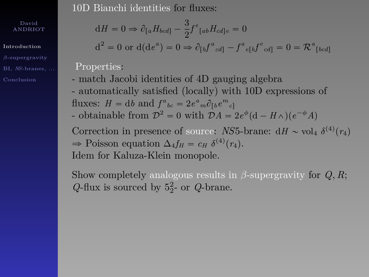[Introduction](#page-1-0)

BI, *NS*[-branes, ...](#page-67-0)

10D Bianchi identities for fluxes:

$$
dH = 0 \Rightarrow \partial_{[a}H_{bcd]} - \frac{3}{2}f^e_{[ab}H_{cd]e} = 0
$$
  

$$
d^2 = 0 \text{ or } d(de^a) = 0 \Rightarrow \partial_{[b}f^a_{cd]} - f^a_{e[b}f^e_{cd]} = 0 = \mathcal{R}^a_{[b]}
$$

r*bcd*s

Properties:

- match Jacobi identities of 4D gauging algebra - automatically satisfied (locally) with 10D expressions of fluxes:  $H = db$  and  $f^{a}_{bc} = 2e^{a}_{m}\partial_{[b}e^{m}_{c]}$ - obtainable from  $\mathcal{D}^2 = 0$  with  $\mathcal{D}A = 2e^{\phi}(\mathbf{d} - H\wedge)(e^{-\phi}A)$ 

Correction in presence of source: *NS*5-brane:  $dH \sim \text{vol}_4 \delta^{(4)}(r_4)$  $\Rightarrow$  Poisson equation  $\Delta_4 f_H = c_H \delta^{(4)}(r_4)$ . Idem for Kaluza-Klein monopole.

Show completely analogous results in  $\beta$ -supergravity for  $Q, R$ ;  $Q$ -flux is sourced by  $5^2$ - or  $Q$ -brane.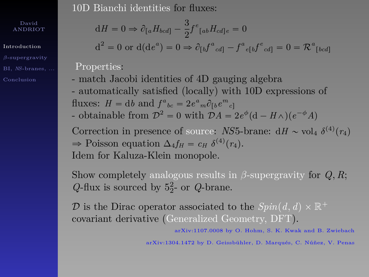[Introduction](#page-1-0)

BI, *NS*[-branes, ...](#page-67-0)

10D Bianchi identities for fluxes:

$$
dH = 0 \Rightarrow \partial_{[a}H_{bcd]} - \frac{3}{2}f^e_{[ab}H_{cd]e} = 0
$$
  

$$
d^2 = 0 \text{ or } d(de^a) = 0 \Rightarrow \partial_{[b}f^a_{cd]} - f^a_{e[b}f^e_{cd]} = 0 = \mathcal{R}^a_{[bc]}
$$

Properties:

- match Jacobi identities of 4D gauging algebra - automatically satisfied (locally) with 10D expressions of fluxes:  $H = db$  and  $f^{a}_{bc} = 2e^{a}_{m}\partial_{[b}e^{m}_{c]}$ - obtainable from  $\mathcal{D}^2 = 0$  with  $\mathcal{D}A = 2e^{\phi}(\mathbf{d} - H\wedge)(e^{-\phi}A)$ 

Correction in presence of source: *NS*5-brane:  $dH \sim \text{vol}_4 \delta^{(4)}(r_4)$  $\Rightarrow$  Poisson equation  $\Delta_4 f_H = c_H \delta^{(4)}(r_4)$ . Idem for Kaluza-Klein monopole.

Show completely analogous results in  $\beta$ -supergravity for  $Q, R$ ;  $Q$ -flux is sourced by  $5^2$ - or  $Q$ -brane.

 $\mathcal{D}$  is the Dirac operator associated to the  $Spin(d, d) \times \mathbb{R}^+$ covariant derivative (Generalized Geometry, DFT).

arXiv:1107.0008 by O. Hohm, S. K. Kwak and B. Zwiebach

r*bcd*s

arXiv:1304.1472 by D. Geissbühler, D. Marqués, C. Núñez, V. Penas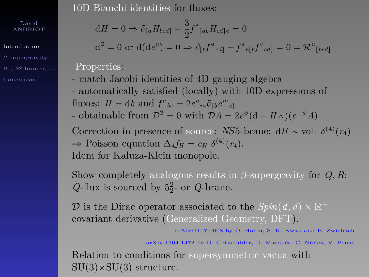[Introduction](#page-1-0)

BI, *NS*[-branes, ...](#page-67-0)

10D Bianchi identities for fluxes:

$$
dH = 0 \Rightarrow \partial_{[a}H_{bcd]} - \frac{3}{2}f^e_{[ab}H_{cd]e} = 0
$$
  

$$
d^2 = 0 \text{ or } d(de^a) = 0 \Rightarrow \partial_{[b}f^a_{cd]} - f^a_{e[b}f^e_{cd]} = 0 = \mathcal{R}^a_{[bcd]}
$$

Properties:

- match Jacobi identities of 4D gauging algebra - automatically satisfied (locally) with 10D expressions of fluxes:  $H = db$  and  $f^{a}_{bc} = 2e^{a}_{m}\partial_{[b}e^{m}_{c]}$ - obtainable from  $\mathcal{D}^2 = 0$  with  $\mathcal{D}A = 2e^{\phi}(\mathbf{d} - H\wedge)(e^{-\phi}A)$ 

Correction in presence of source: *NS*5-brane:  $dH \sim \text{vol}_4 \delta^{(4)}(r_4)$  $\Rightarrow$  Poisson equation  $\Delta_4 f_H = c_H \delta^{(4)}(r_4)$ . Idem for Kaluza-Klein monopole.

Show completely analogous results in  $\beta$ -supergravity for  $Q, R$ ;  $Q$ -flux is sourced by  $5^2$ - or  $Q$ -brane.

 $\mathcal{D}$  is the Dirac operator associated to the  $Spin(d, d) \times \mathbb{R}^+$ covariant derivative (Generalized Geometry, DFT).

arXiv:1107.0008 by O. Hohm, S. K. Kwak and B. Zwiebach

arXiv:1304.1472 by D. Geissbühler, D. Marqués, C. Núñez, V. Penas

Relation to conditions for supersymmetric vacua with  $SU(3) \times SU(3)$  structure.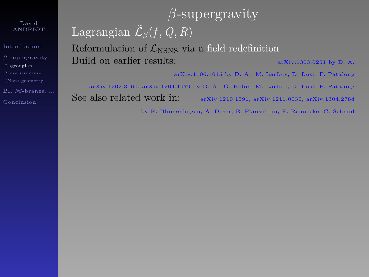[Introduction](#page-1-0) [Lagrangian](#page-30-0) BI, *NS*[-branes, ...](#page-67-0)

# *β*-supergravity Lagrangian  $\tilde{\mathcal{L}}_{\beta}(f, Q, R)$ Reformulation of  $\mathcal{L}_{NSNS}$  via a field redefinition Build on earlier results:  $\frac{1}{2}$  arXiv:1303.0251 by D. A.

arXiv:1106.4015 by D. A., M. Larfors, D. Lüst, P. Patalong

<span id="page-30-0"></span>arXiv:1202.3060, arXiv:1204.1979 by D. A., O. Hohm, M. Larfors, D. Lüst, P. Patalong See also related work in: arXiv:1210.1591, arXiv:1211.0030, arXiv:1304.2784

by R. Blumenhagen, A. Deser, E. Plauschinn, F. Rennecke, C. Schmid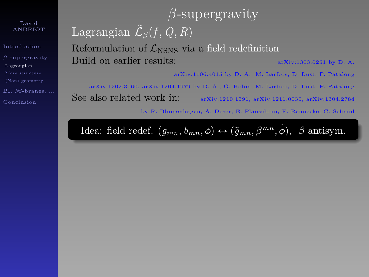[Introduction](#page-1-0) [Lagrangian](#page-30-0) BI, *NS*[-branes, ...](#page-67-0)

# *β*-supergravity Lagrangian  $\tilde{\mathcal{L}}_{\beta}(f, Q, R)$ Reformulation of  $\mathcal{L}_{NSNS}$  via a field redefinition Build on earlier results:  $arXiv:1303.0251$  by D. A.

arXiv:1106.4015 by D. A., M. Larfors, D. Lüst, P. Patalong

arXiv:1202.3060, arXiv:1204.1979 by D. A., O. Hohm, M. Larfors, D. Lüst, P. Patalong See also related work in: arXiv:1210.1591, arXiv:1211.0030, arXiv:1304.2784

by R. Blumenhagen, A. Deser, E. Plauschinn, F. Rennecke, C. Schmid

Idea: field redef.  $(g_{mn}, b_{mn}, \phi) \leftrightarrow (\tilde{g}_{mn}, \beta^{mn}, \tilde{\phi}), \beta$  antisym.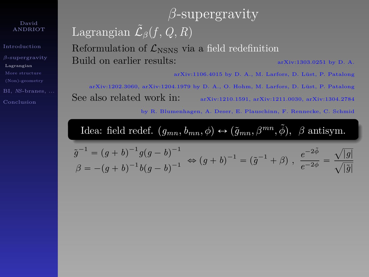[Introduction](#page-1-0) [Lagrangian](#page-30-0) BI, *NS*[-branes, ...](#page-67-0)

# *β*-supergravity Lagrangian  $\tilde{\mathcal{L}}_{\beta}(f, Q, R)$ Reformulation of  $\mathcal{L}_{NSNS}$  via a field redefinition Build on earlier results:  $arXiv:1303.0251$  by D. A.

arXiv:1106.4015 by D. A., M. Larfors, D. Lüst, P. Patalong

arXiv:1202.3060, arXiv:1204.1979 by D. A., O. Hohm, M. Larfors, D. Lüst, P. Patalong See also related work in: arXiv:1210.1591, arXiv:1211.0030, arXiv:1304.2784

by R. Blumenhagen, A. Deser, E. Plauschinn, F. Rennecke, C. Schmid

Idea: field redef.  $(g_{mn}, b_{mn}, \phi) \leftrightarrow (\tilde{g}_{mn}, \beta^{mn}, \tilde{\phi}), \beta$  antisym.

$$
\tilde{g}^{-1} = (g+b)^{-1}g(g-b)^{-1} \Leftrightarrow (g+b)^{-1} = (\tilde{g}^{-1} + \beta), \ \frac{e^{-2\tilde{\phi}}}{e^{-2\phi}} = \frac{\sqrt{|g|}}{\sqrt{|\tilde{g}|}}
$$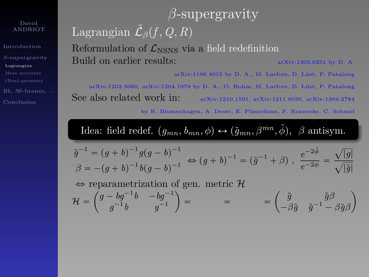[Introduction](#page-1-0) [Lagrangian](#page-30-0) BI, *NS*[-branes, ...](#page-67-0)

# *β*-supergravity Lagrangian  $\tilde{\mathcal{L}}_{\beta}(f, Q, R)$ Reformulation of  $\mathcal{L}_{NSNS}$  via a field redefinition Build on earlier results:  $\frac{1}{2}$  arXiv:1303.0251 by D. A.

arXiv:1106.4015 by D. A., M. Larfors, D. Lüst, P. Patalong

arXiv:1202.3060, arXiv:1204.1979 by D. A., O. Hohm, M. Larfors, D. Lüst, P. Patalong See also related work in: arXiv:1210.1591, arXiv:1211.0030, arXiv:1304.2784

by R. Blumenhagen, A. Deser, E. Plauschinn, F. Rennecke, C. Schmid

Idea: field redef.  $(g_{mn}, b_{mn}, \phi) \leftrightarrow (\tilde{g}_{mn}, \beta^{mn}, \tilde{\phi}), \beta$  antisym.

$$
\tilde{g}^{-1} = (g+b)^{-1}g(g-b)^{-1} \Leftrightarrow (g+b)^{-1} = (\tilde{g}^{-1} + \beta), \ \frac{e^{-2\tilde{\phi}}}{e^{-2\phi}} = \frac{\sqrt{|g|}}{\sqrt{|\tilde{g}|}}
$$

 $\Leftrightarrow$  reparametrization of gen. metric  $H$ 

$$
\mathcal{H} = \begin{pmatrix} g - bg^{-1}b & -bg^{-1} \\ g^{-1}b & g^{-1} \end{pmatrix} = \qquad \qquad = \qquad \qquad = \begin{pmatrix} \tilde{g} & \tilde{g}\beta \\ -\beta\tilde{g} & \tilde{g}^{-1} - \beta\tilde{g}\beta \end{pmatrix}
$$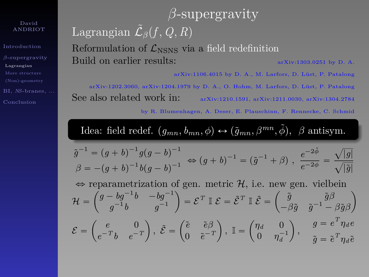[Introduction](#page-1-0) *β*[-supergravity](#page-30-0) [Lagrangian](#page-30-0) BI, *NS*[-branes, ...](#page-67-0)

# *β*-supergravity Lagrangian  $\tilde{\mathcal{L}}_{\beta}(f, Q, R)$ Reformulation of  $\mathcal{L}_{\text{NSNS}}$  via a field redefinition Build on earlier results:  $arXiv:1303.0251$  by D. A.

arXiv:1106.4015 by D. A., M. Larfors, D. Lüst, P. Patalong

arXiv:1202.3060, arXiv:1204.1979 by D. A., O. Hohm, M. Larfors, D. Lüst, P. Patalong See also related work in: arXiv:1210.1591, arXiv:1211.0030, arXiv:1304.2784

by R. Blumenhagen, A. Deser, E. Plauschinn, F. Rennecke, C. Schmid

Idea: field redef.  $(g_{mn}, b_{mn}, \phi) \leftrightarrow (\tilde{g}_{mn}, \beta^{mn}, \tilde{\phi}), \beta$  antisym.

$$
\tilde{g}^{-1} = (g+b)^{-1}g(g-b)^{-1} \Leftrightarrow (g+b)^{-1} = (\tilde{g}^{-1} + \beta), \ \frac{e^{-2\tilde{\phi}}}{e^{-2\phi}} = \frac{\sqrt{|g|}}{\sqrt{|\tilde{g}|}}
$$

 $\Leftrightarrow$  reparametrization of gen. metric  $H$ , i.e. new gen. vielbein  $\mathcal{H} = \begin{pmatrix} g - bg^{-1}b & -bg^{-1} \\ 0 & -1b & 0 \\ 0 & 0 & 0 \end{pmatrix}$  $\left(\begin{matrix} -bg^{-1}b & -bg^{-1}\g^{-1} \end{matrix}\right) = \mathcal{E}^T \ \mathbb{I} \ \mathcal{E} = \tilde{\mathcal{E}}^T \ \mathbb{I} \ \tilde{\mathcal{E}} = \begin{pmatrix} \tilde{g} & \tilde{g}\beta \ -\beta \tilde{g} & \tilde{g}^{-1} - \end{pmatrix}$  $-\beta \tilde{g}$   $\tilde{g}^{-1} - \beta \tilde{g}\beta$  $\mathcal{E} =$ *e* 0  $e^{-T}b$   $e^{-T}$  $, \; \tilde{\mathcal{E}}=% \begin{bmatrix} \omega_{0}-i\frac{\gamma_{\mathrm{p}}}{2} & \frac{\omega_{\mathrm{p}}}{2} & \frac{\omega_{\mathrm{p}}}{2} & \frac{\omega_{\mathrm{p}}}{2} & \frac{\omega_{\mathrm{p}}}{2} \end{bmatrix}% ,\; \tilde{\mathcal{E}}=% \begin{bmatrix} \omega_{\mathrm{p}}-i\frac{\gamma_{\mathrm{p}}}{2} & \frac{\omega_{\mathrm{p}}}{2} & \frac{\omega_{\mathrm{p}}}{2} & \frac{\omega_{\mathrm{p}}}{2} & \frac{\omega_{\mathrm{p}}}{2} & \frac{\omega_{\mathrm{p}}}{2} & \frac{\omega_{\mathrm$  $\tilde{e}$   $\tilde{e}\beta$  $0 \quad \tilde{e}^{-T}$  $, \mathbb{I} =$  $\eta_d = 0$  $0 \quad \eta_d^{-1}$ ˙  $g = e^T \eta_d e$  $\tilde{g} = \tilde{e}^{\,T}\eta_d \tilde{e}$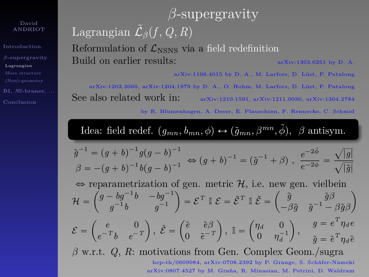[Introduction](#page-1-0) [Lagrangian](#page-30-0) BI, *NS*[-branes, ...](#page-67-0)

# *β*-supergravity Lagrangian  $\tilde{\mathcal{L}}_{\beta}(f, Q, R)$ Reformulation of  $\mathcal{L}_{NSNS}$  via a field redefinition Build on earlier results:  $\frac{1}{2}$  arXiv:1303.0251 by D. A.

arXiv:1106.4015 by D. A., M. Larfors, D. Lüst, P. Patalong

arXiv:1202.3060, arXiv:1204.1979 by D. A., O. Hohm, M. Larfors, D. Lüst, P. Patalong See also related work in: arXiv:1210.1591, arXiv:1211.0030, arXiv:1304.2784

by R. Blumenhagen, A. Deser, E. Plauschinn, F. Rennecke, C. Schmid

Idea: field redef.  $(g_{mn}, b_{mn}, \phi) \leftrightarrow (\tilde{g}_{mn}, \beta^{mn}, \tilde{\phi}), \beta$  antisym.

$$
\tilde{g}^{-1} = (g+b)^{-1}g(g-b)^{-1} \Leftrightarrow (g+b)^{-1} = (\tilde{g}^{-1} + \beta), \ \frac{e^{-2\tilde{\phi}}}{e^{-2\phi}} = \frac{\sqrt{|g|}}{\sqrt{|\tilde{g}|}}
$$

 $\Leftrightarrow$  reparametrization of gen. metric  $H$ , i.e. new gen. vielbein

$$
\mathcal{H} = \begin{pmatrix} g - bg^{-1}b & -bg^{-1} \\ g^{-1}b & g^{-1} \end{pmatrix} = \mathcal{E}^T \mathbb{I} \ \mathcal{E} = \tilde{\mathcal{E}}^T \mathbb{I} \ \tilde{\mathcal{E}} = \begin{pmatrix} \tilde{g} & \tilde{g}\beta \\ -\beta\tilde{g} & \tilde{g}^{-1} - \beta\tilde{g}\beta \end{pmatrix}
$$

$$
\mathcal{E} = \begin{pmatrix} e & 0 \\ e^{-T}h & e^{-T} \end{pmatrix}, \ \tilde{\mathcal{E}} = \begin{pmatrix} \tilde{e} & \tilde{e}\beta \\ 0 & \tilde{e}^{-T}\end{pmatrix}, \ \mathbb{I} = \begin{pmatrix} \eta_d & 0 \\ 0 & \tilde{e}^{-1} \end{pmatrix}, \qquad g = e^T \eta_d e
$$

$$
\mathcal{L} = \begin{pmatrix} e^{-T}b & e^{-T} \end{pmatrix}, \ \mathcal{L} = \begin{pmatrix} 0 & \tilde{e}^{-T} \end{pmatrix}, \ \mathbb{I} = \begin{pmatrix} 0 & \eta_d^{-1} \end{pmatrix}, \quad \tilde{g} = \tilde{e}^T \eta_d \tilde{e}
$$

*β* w.r.t. *Q*, *R*: motivations from Gen. Complex Geom./sugra hep-th/0609084, arXiv:0708.2392 by P. Grange, S. Schäfer-Nameki arXiv:0807.4527 by M. Graña, R. Minasian, M. Petrini, D. Waldram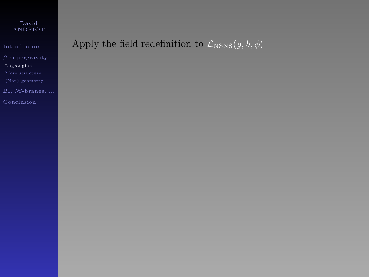[Introduction](#page-1-0) [Lagrangian](#page-30-0)

## Apply the field redefinition to  $\mathcal{L}_{\text{NSNS}}(g, b, \phi)$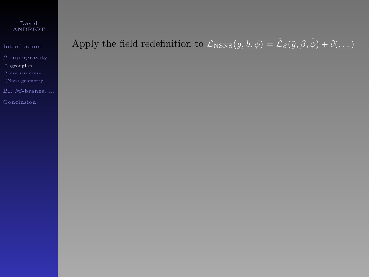[Introduction](#page-1-0) [Lagrangian](#page-30-0) BI, *NS*[-branes, ...](#page-67-0)

# Apply the field redefinition to  $\mathcal{L}_{NSNS}(g, b, \phi) = \tilde{\mathcal{L}}_{\beta}(\tilde{g}, \beta, \tilde{\phi}) + \partial (\dots)$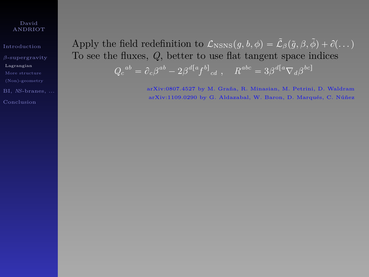[Introduction](#page-1-0) [Lagrangian](#page-30-0) BI, *NS*[-branes, ...](#page-67-0)

Apply the field redefinition to  $\mathcal{L}_{\text{NSNS}}(q, b, \phi) = \tilde{\mathcal{L}}_{\beta}(\tilde{q}, \beta, \tilde{\phi}) + \partial (\dots)$ To see the fluxes, *Q*, better to use flat tangent space indices  $Q_c^{ab} = \partial_c \beta^{ab} - 2\beta^{d[a} f^{b]}_{cd}$ ,  $R^{abc} = 3\beta^{d[a} \nabla_d \beta^{bc]}$ 

> arXiv:0807.4527 by M. Graña, R. Minasian, M. Petrini, D. Waldram arXiv:1109.0290 by G. Aldazabal, W. Baron, D. Marqués, C. Núñez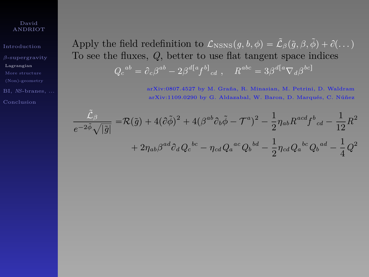[Introduction](#page-1-0) [Lagrangian](#page-30-0) BI, *NS*[-branes, ...](#page-67-0) Apply the field redefinition to  $\mathcal{L}_{NSNS}(q, b, \phi) = \tilde{\mathcal{L}}_3(\tilde{q}, \beta, \tilde{\phi}) + \partial (\dots)$ To see the fluxes, *Q*, better to use flat tangent space indices  $Q_c^{ab} = \partial_c \beta^{ab} - 2\beta^{d[a} f^{b]}_{cd}$ ,  $R^{abc} = 3\beta^{d[a} \nabla_d \beta^{bc]}$ 

> arXiv:0807.4527 by M. Graña, R. Minasian, M. Petrini, D. Waldram arXiv:1109.0290 by G. Aldazabal, W. Baron, D. Marqués, C. Núñez

$$
\frac{\tilde{\mathcal{L}}_{\beta}}{e^{-2\tilde{\phi}}\sqrt{|\tilde{g}|}} = \mathcal{R}(\tilde{g}) + 4(\tilde{\partial}\tilde{\phi})^2 + 4(\beta^{ab}\partial_b\tilde{\phi} - \mathcal{T}^a)^2 - \frac{1}{2}\eta_{ab}R^{acd}f^b{}_{cd} - \frac{1}{12}R^2
$$

$$
+ 2\eta_{ab}\beta^{ad}\partial_dQ_c{}^{bc} - \eta_{cd}Q_a{}^{ac}Q_b{}^{bd} - \frac{1}{2}\eta_{cd}Q_a{}^{bc}Q_b{}^{ad} - \frac{1}{4}Q^2
$$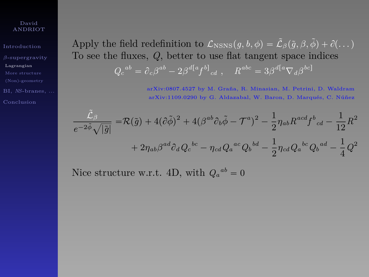[Introduction](#page-1-0) [Lagrangian](#page-30-0) BI, *NS*[-branes, ...](#page-67-0) Apply the field redefinition to  $\mathcal{L}_{NSNS}(q, b, \phi) = \tilde{\mathcal{L}}_{\beta}(\tilde{q}, \beta, \tilde{\phi}) + \partial (\dots)$ To see the fluxes, *Q*, better to use flat tangent space indices  $Q_c^{ab} = \partial_c \beta^{ab} - 2\beta^{d[a} f^{b]}_{cd}$ ,  $R^{abc} = 3\beta^{d[a} \nabla_d \beta^{bc]}$ 

> arXiv:0807.4527 by M. Graña, R. Minasian, M. Petrini, D. Waldram arXiv:1109.0290 by G. Aldazabal, W. Baron, D. Marqués, C. Núñez

$$
\frac{\tilde{\mathcal{L}}_{\beta}}{e^{-2\tilde{\phi}}\sqrt{|\tilde{g}|}} = \mathcal{R}(\tilde{g}) + 4(\partial\tilde{\phi})^2 + 4(\beta^{ab}\partial_b\tilde{\phi} - \mathcal{T}^a)^2 - \frac{1}{2}\eta_{ab}R^{acd}f^b{}_{cd} - \frac{1}{12}R^2
$$

$$
+ 2\eta_{ab}\beta^{ad}\partial_dQ_c{}^{bc} - \eta_{cd}Q_a{}^{ac}Q_b{}^{bd} - \frac{1}{2}\eta_{cd}Q_a{}^{bc}Q_b{}^{ad} - \frac{1}{4}Q^2
$$

Nice structure w.r.t. 4D, with  $Q_a^{ab} = 0$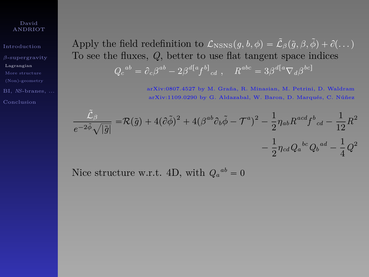[Introduction](#page-1-0) [Lagrangian](#page-30-0) BI, *NS*[-branes, ...](#page-67-0) Apply the field redefinition to  $\mathcal{L}_{NSNS}(q, b, \phi) = \tilde{\mathcal{L}}_{\beta}(\tilde{q}, \beta, \tilde{\phi}) + \partial (\dots)$ To see the fluxes, *Q*, better to use flat tangent space indices  $Q_c^{ab} = \partial_c \beta^{ab} - 2\beta^{d[a} f^{b]}_{cd}$ ,  $R^{abc} = 3\beta^{d[a} \nabla_d \beta^{bc]}$ 

> arXiv:0807.4527 by M. Graña, R. Minasian, M. Petrini, D. Waldram arXiv:1109.0290 by G. Aldazabal, W. Baron, D. Marqués, C. Núñez

$$
\frac{\tilde{\mathcal{L}}_{\beta}}{e^{-2\tilde{\phi}}\sqrt{|\tilde{g}|}} = \mathcal{R}(\tilde{g}) + 4(\partial \tilde{\phi})^2 + 4(\beta^{ab}\partial_b\tilde{\phi} - \mathcal{T}^a)^2 - \frac{1}{2}\eta_{ab}R^{acd}f^b{}_{cd} - \frac{1}{12}R^2
$$

$$
-\frac{1}{2}\eta_{cd}Q_a{}^{bc}Q_b{}^{ad} - \frac{1}{4}Q^2
$$

Nice structure w.r.t. 4D, with  $Q_a^{ab} = 0$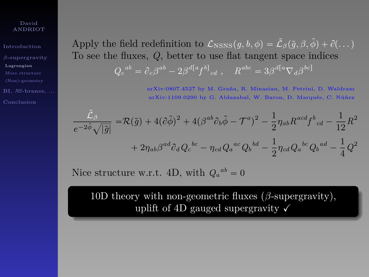[Introduction](#page-1-0) [Lagrangian](#page-30-0) BI, *NS*[-branes, ...](#page-67-0) Apply the field redefinition to  $\mathcal{L}_{NSNS}(q, b, \phi) = \tilde{\mathcal{L}}_{\beta}(\tilde{q}, \beta, \tilde{\phi}) + \partial (\dots)$ To see the fluxes, *Q*, better to use flat tangent space indices  $Q_c^{ab} = \partial_c \beta^{ab} - 2\beta^{d[a} f^{b]}_{cd}$ ,  $R^{abc} = 3\beta^{d[a} \nabla_d \beta^{bc]}$ 

> arXiv:0807.4527 by M. Graña, R. Minasian, M. Petrini, D. Waldram arXiv:1109.0290 by G. Aldazabal, W. Baron, D. Marqués, C. Núñez

$$
\frac{\tilde{\mathcal{L}}_{\beta}}{e^{-2\tilde{\phi}}\sqrt{|\tilde{g}|}} = \mathcal{R}(\tilde{g}) + 4(\partial\tilde{\phi})^2 + 4(\beta^{ab}\partial_b\tilde{\phi} - \mathcal{T}^a)^2 - \frac{1}{2}\eta_{ab}R^{acd}f^b{}_{cd} - \frac{1}{12}R^2
$$

$$
+ 2\eta_{ab}\beta^{ad}\partial_dQ_c{}^{bc} - \eta_{cd}Q_a{}^{ac}Q_b{}^{bd} - \frac{1}{2}\eta_{cd}Q_a{}^{bc}Q_b{}^{ad} - \frac{1}{4}Q^2
$$

Nice structure w.r.t. 4D, with  $Q_a^{ab} = 0$ 

10D theory with non-geometric fluxes (*β*-supergravity), uplift of 4D gauged supergravity  $\sqrt{}$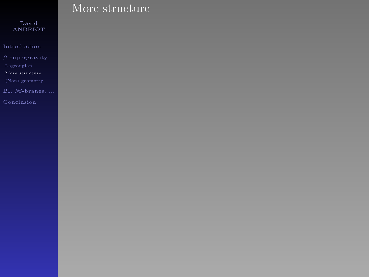[More structure](#page-43-0)

<span id="page-43-0"></span>

## More structure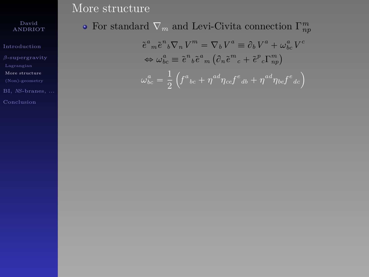## ANDRIOT

[Introduction](#page-1-0)

[More structure](#page-43-0)

## More structure

## For standard  $\nabla_m$  and Levi-Civita connection  $\Gamma^m_{np}$

$$
\tilde{e}^a{}_m \tilde{e}^n{}_b \nabla_n V^m = \nabla_b V^a \equiv \partial_b V^a + \omega_{bc}^a V^c
$$
  

$$
\Leftrightarrow \omega_{bc}^a \equiv \tilde{e}^n{}_b \tilde{e}^a{}_m (\partial_n \tilde{e}^m{}_c + \tilde{e}^p{}_c \Gamma^m_{np})
$$
  

$$
\omega_{bc}^a = \frac{1}{2} \left( f^a{}_{bc} + \eta^{ad} \eta_{cc} f^e{}_{db} + \eta^{ad} \eta_{bc} f^e{}_{dc} \right)
$$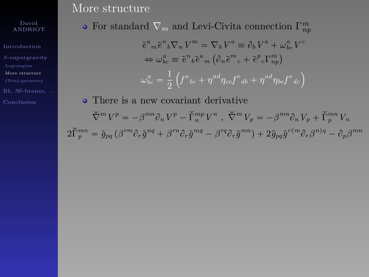[Introduction](#page-1-0) [More structure](#page-43-0)

BI, *NS*[-branes, ...](#page-67-0)

### More structure

For standard  $\nabla_m$  and Levi-Civita connection  $\Gamma^m_{np}$ 

$$
\tilde{e}^{a}{}_{m}\tilde{e}^{n}{}_{b}\nabla_{n}V^{m} = \nabla_{b}V^{a} \equiv \partial_{b}V^{a} + \omega_{bc}^{a}V^{c}
$$

$$
\Leftrightarrow \omega_{bc}^{a} \equiv \tilde{e}^{n}{}_{b}\tilde{e}^{a}{}_{m} (\partial_{n}\tilde{e}^{m}{}_{c} + \tilde{e}^{p}{}_{c}\Gamma_{np}^{m})
$$

$$
\omega_{bc}^{a} = \frac{1}{2} (\int_{0}^{a}e^{i} + \eta^{ad}\eta_{ce}f^{c}{}_{ab} + \eta^{ad}\eta_{be}f^{c}{}_{dc})
$$

There is a new covariant derivative  $\check{\nabla}^m V^p = -\beta^{mn}\partial_n V^p - \check{\Gamma}_n^{mp} V^n$ ,  $\check{\nabla}^m V_p = -\beta^{mn}\partial_n V_p + \check{\Gamma}_p^{mn} V_n$  $2\widetilde{\Gamma}_{p}^{mn}=\tilde{g}_{pq}\left(\beta^{rm}\partial_{r}\tilde{g}^{nq}+\beta^{rn}\partial_{r}\tilde{g}^{mq}-\beta^{rq}\partial_{r}\tilde{g}^{mn}\right)+2\tilde{g}_{pq}\tilde{g}^{r(m}\partial_{r}\beta^{n)q}-\partial_{p}\beta^{mn}$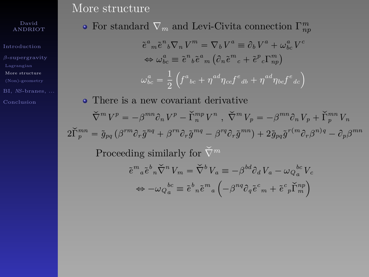[Introduction](#page-1-0) [More structure](#page-43-0)

BI, *NS*[-branes, ...](#page-67-0)

### More structure

For standard  $\nabla_m$  and Levi-Civita connection  $\Gamma^m_{np}$ 

$$
\tilde{e}^{a}{}_{m}\tilde{e}^{n}{}_{b}\nabla_{n}V^{m} = \nabla_{b}V^{a} \equiv \partial_{b}V^{a} + \omega_{bc}^{a}V^{c}
$$

$$
\Leftrightarrow \omega_{bc}^{a} \equiv \tilde{e}^{n}{}_{b}\tilde{e}^{a}{}_{m} (\partial_{n}\tilde{e}^{m}{}_{c} + \tilde{e}^{p}{}_{c}\Gamma_{np}^{m})
$$

$$
\omega_{bc}^{a} = \frac{1}{2} (\int_{0}^{a}e^{i} + \eta^{ad}\eta_{ce}f^{c}{}_{ab} + \eta^{ad}\eta_{be}f^{c}{}_{dc})
$$

There is a new covariant derivative  $\check{\nabla}^m V^p = -\beta^{mn}\partial_n V^p - \check{\Gamma}_n^{mp} V^n$ ,  $\check{\nabla}^m V_p = -\beta^{mn}\partial_n V_p + \check{\Gamma}_p^{mn} V_n$  $2\widetilde{\Gamma}_{p}^{mn}=\tilde{g}_{pq}\left(\beta^{rm}\partial_{r}\tilde{g}^{nq}+\beta^{rn}\partial_{r}\tilde{g}^{mq}-\beta^{rq}\partial_{r}\tilde{g}^{mn}\right)+2\tilde{g}_{pq}\tilde{g}^{r(m}\partial_{r}\beta^{n)q}-\partial_{p}\beta^{mn}$ Proceeding similarly for  $\check{\nabla}^m$  $\tilde{e}^m{}_a \tilde{e}^b{}_n \check{\nabla}^n V_m = \check{\nabla}^b V_a \equiv -\beta^{bd} \partial_d V_a - \omega_{Q_a}{}^{bc} V_c$  $\Leftrightarrow -\omega_Q^{bc}_{a} \equiv {\tilde e}^b{}_n {\tilde e}^m{}_a$  $^{\prime}$  $-\beta^{nq}\partial_{q}\tilde{e}^{c}{}_{m} + \tilde{e}^{c}{}_{p}\tilde{\Gamma}^{np}_{m}$ ¯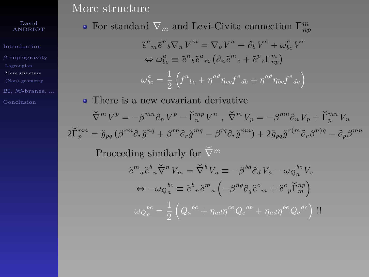[Introduction](#page-1-0) [More structure](#page-43-0)

BI, *NS*[-branes, ...](#page-67-0)

### More structure

For standard  $\nabla_m$  and Levi-Civita connection  $\Gamma^m_{np}$ 

$$
\tilde{e}^{a}{}_{m}\tilde{e}^{n}{}_{b}\nabla_{n}V^{m} = \nabla_{b}V^{a} \equiv \partial_{b}V^{a} + \omega_{bc}^{a}V^{c}
$$

$$
\Leftrightarrow \omega_{bc}^{a} \equiv \tilde{e}^{n}{}_{b}\tilde{e}^{a}{}_{m} (\partial_{n}\tilde{e}^{m}{}_{c} + \tilde{e}^{p}{}_{c}\Gamma_{np}^{m})
$$

$$
\omega_{bc}^{a} = \frac{1}{2} (\int_{0}^{a} e^{a} + \eta^{ad} \eta_{ce} f^{e} d\theta + \eta^{ad} \eta_{bc} f^{e} d\theta)
$$

• There is a new covariant derivative  $\check{\nabla}^m V^p = -\beta^{mn}\partial_n V^p - \check{\Gamma}_n^{mp} V^n$ ,  $\check{\nabla}^m V_p = -\beta^{mn}\partial_n V_p + \check{\Gamma}_p^{mn} V_n$  $2\widetilde{\Gamma}_{p}^{mn}=\tilde{g}_{pq}\left(\beta^{rm}\partial_{r}\tilde{g}^{nq}+\beta^{rn}\partial_{r}\tilde{g}^{mq}-\beta^{rq}\partial_{r}\tilde{g}^{mn}\right)+2\tilde{g}_{pq}\tilde{g}^{r(m}\partial_{r}\beta^{n)q}-\partial_{p}\beta^{mn}$ Proceeding similarly for  $\check{\nabla}^m$  $\tilde{e}^m{}_a \tilde{e}^b{}_n \breve{\nabla}^n V_m = \breve{\nabla}^b V_a \equiv -\beta^{bd} \partial_d V_a - \omega_{Q_a}{}^{bc} V_c$  $\Leftrightarrow -\omega_Q^{bc}\equiv\tilde{e}^b{}_n\tilde{e}^m{}_a\left(-\beta^{nq}\partial_q\tilde{e}^c{}_m+\tilde{e}^c{}_p\breve{\Gamma}^{np}_m\right.$  $\omega\overline{\smash[b]{a}}^{bc}_{a}=\frac{1}{2}$ 2  $Q_a{}^{bc} + \eta_{ad}\eta^{ce}Q_e{}^{db} + \eta_{ad}\eta^{be}Q_e{}^{dc}$ <sup>*li*</sup>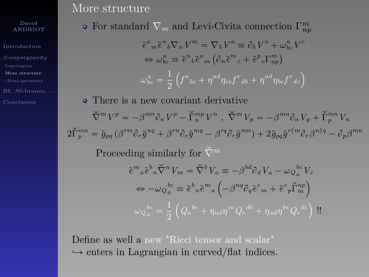[Introduction](#page-1-0) [More structure](#page-43-0)

BI, *NS*[-branes, ...](#page-67-0)

### More structure

For standard  $\nabla_m$  and Levi-Civita connection  $\Gamma^m_{np}$ 

$$
\tilde{e}^{a}{}_{m}\tilde{e}^{n}{}_{b}\nabla_{n}V^{m} = \nabla_{b}V^{a} \equiv \partial_{b}V^{a} + \omega_{bc}^{a}V^{c}
$$

$$
\Leftrightarrow \omega_{bc}^{a} \equiv \tilde{e}^{n}{}_{b}\tilde{e}^{a}{}_{m} (\partial_{n}\tilde{e}^{m}{}_{c} + \tilde{e}^{p}{}_{c}\Gamma_{np}^{m})
$$

$$
\omega_{bc}^{a} = \frac{1}{2} (\int_{0}^{a} e^{a} + \eta^{ad} \eta_{ce} f^{e} d\theta + \eta^{ad} \eta_{bc} f^{e} d\theta)
$$

• There is a new covariant derivative  $\check{\nabla}^m V^p = -\beta^{mn}\partial_n V^p - \check{\Gamma}_n^{mp} V^n$ ,  $\check{\nabla}^m V_p = -\beta^{mn}\partial_n V_p + \check{\Gamma}_p^{mn} V_n$  $2\widetilde{\Gamma}_{p}^{mn}=\tilde{g}_{pq}\left(\beta^{rm}\partial_{r}\tilde{g}^{nq}+\beta^{rn}\partial_{r}\tilde{g}^{mq}-\beta^{rq}\partial_{r}\tilde{g}^{mn}\right)+2\tilde{g}_{pq}\tilde{g}^{r(m}\partial_{r}\beta^{n)q}-\partial_{p}\beta^{mn}$ Proceeding similarly for  $\check{\nabla}^m$  $\tilde{e}^m{}_a \tilde{e}^b{}_n \breve{\nabla}^n V_m = \breve{\nabla}^b V_a \equiv -\beta^{bd} \partial_d V_a - \omega_{Q_a}{}^{bc} V_c$  $\Leftrightarrow -\omega_Q^{bc}\equiv\tilde{e}^b{}_n\tilde{e}^m{}_a\left(-\beta^{nq}\partial_q\tilde{e}^c{}_m+\tilde{e}^c{}_p\breve{\Gamma}^{np}_m\right.$  $\omega\overline{\smash[b]{a}}^{bc}_{a}=\frac{1}{2}$ 2  $Q_a{}^{bc} + \eta_{ad}\eta^{ce}Q_e{}^{db} + \eta_{ad}\eta^{be}Q_e{}^{dc}$ <sup>*li*</sup>

Define as well a new "Ricci tensor and scalar"  $\rightarrow$  enters in Lagrangian in curved/flat indices.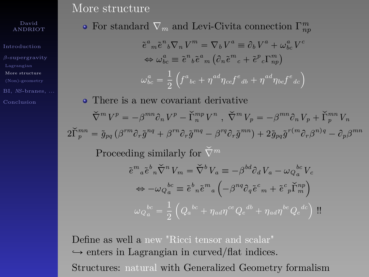[Introduction](#page-1-0) [More structure](#page-43-0)

BI, *NS*[-branes, ...](#page-67-0)

### More structure

For standard  $\nabla_m$  and Levi-Civita connection  $\Gamma^m_{np}$ 

$$
\tilde{e}^{a}_{m}\tilde{e}^{n}_{b}\nabla_{n}V^{m} = \nabla_{b}V^{a} \equiv \partial_{b}V^{a} + \omega_{bc}^{a}V^{c}
$$

$$
\Leftrightarrow \omega_{bc}^{a} \equiv \tilde{e}^{n}_{b}\tilde{e}^{a}_{m} (\partial_{n}\tilde{e}^{m}_{c} + \tilde{e}^{p}_{c}\Gamma_{np}^{m})
$$

$$
\omega_{bc}^{a} = \frac{1}{2} (\int_{0}^{a} e^{i\omega_{c}} + \eta^{ad}\eta_{ce}f^{e}_{d} + \eta^{ad}\eta_{bc}f^{e}_{d} + \eta^{ad}\eta_{bc}f^{e}_{d} + \eta^{ad}\eta_{bc}f^{e}_{d} + \eta^{ad}\eta_{bc}f^{e}_{d} + \eta^{ad}\eta_{bc}f^{e}_{d} + \eta^{ad}\eta_{bc}f^{e}_{d} + \eta^{ad}\eta_{bc}f^{e}_{d} + \eta^{ad}\eta_{bc}f^{e}_{d} + \eta^{ad}\eta_{bc}f^{e}_{d} + \eta^{ad}\eta_{bc}f^{e}_{d} + \eta^{ad}\eta_{bc}f^{e}_{d} + \eta^{ad}\eta_{bc}f^{e}_{d} + \eta^{ad}\eta_{bc}f^{e}_{d} + \eta^{ad}\eta_{bc}f^{e}_{d} + \eta^{ad}\eta_{bc}f^{e}_{d} + \eta^{ad}\eta_{bc}f^{e}_{d} + \eta^{ad}\eta_{bc}f^{e}_{d} + \eta^{ad}\eta_{bc}f^{e}_{d} + \eta^{ad}\eta_{bc}f^{e}_{d} + \eta^{ad}\eta_{bc}f^{e}_{d} + \eta^{ad}\eta_{bc}f^{e}_{d} + \eta^{ad}\eta_{bc}f^{e}_{d} + \eta^{ad}\eta_{bc}f^{e}_{d} + \eta^{ad}\eta_{bc}f^{e}_{d} + \eta^{ad}\eta_{bc}f^{e}_{d} + \eta^{ad}\eta_{bc}f^{e}_{d} + \eta^{ad}\eta_{bc}f^{e}_{d} + \eta^{ad}\eta_{bc}f^{e}_{d} + \eta^{ad}\eta_{bc}f^{e}_{d} + \eta^{ad}\eta_{bc}f^{e}_{d} + \eta^{ad}\eta_{bc}f^{e}_{d} + \eta^{ad}\eta_{bc}f^{e}_{d} + \eta^{ad}\eta_{bc}f^{e}_{d} + \eta^{ad}\eta_{bc}f^{e}_{d} + \eta^{ad}\eta_{bc}f^{e}_{d} + \
$$

• There is a new covariant derivative  $\check{\nabla}^m V^p = -\beta^{mn}\partial_n V^p - \check{\Gamma}_n^{mp} V^n$ ,  $\check{\nabla}^m V_p = -\beta^{mn}\partial_n V_p + \check{\Gamma}_p^{mn} V_n$  $2\widetilde{\Gamma}_{p}^{mn}=\tilde{g}_{pq}\left(\beta^{rm}\partial_{r}\tilde{g}^{nq}+\beta^{rn}\partial_{r}\tilde{g}^{mq}-\beta^{rq}\partial_{r}\tilde{g}^{mn}\right)+2\tilde{g}_{pq}\tilde{g}^{r(m}\partial_{r}\beta^{n)q}-\partial_{p}\beta^{mn}$ Proceeding similarly for  $\check{\nabla}^m$  $\tilde{e}^m{}_a \tilde{e}^b{}_n \check{\nabla}^n V_m = \check{\nabla}^b V_a \equiv -\beta^{bd} \partial_d V_a - \omega_{Q_a}{}^{bc} V_c$  $\Leftrightarrow -\omega_Q^{bc}\equiv\tilde{e}^b{}_n\tilde{e}^m{}_a\left(-\beta^{nq}\partial_q\tilde{e}^c{}_m+\tilde{e}^c{}_p\breve{\Gamma}^{np}_m\right.$  $^{\prime}$ ¯  $\omega\overline{\smash[b]{a}}^{bc}_{a}=\frac{1}{2}$ 2  $Q_a{}^{bc} + \eta_{ad}\eta^{ce}Q_e{}^{db} + \eta_{ad}\eta^{be}Q_e{}^{dc}$ <sup>*li*</sup>

Define as well a new "Ricci tensor and scalar"  $\rightarrow$  enters in Lagrangian in curved/flat indices. Structures: natural with Generalized Geometry formalism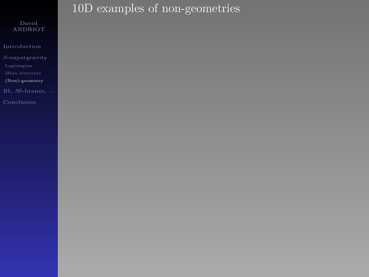[Introduction](#page-1-0)

[\(Non\)-geometry](#page-50-0)

<span id="page-50-0"></span>

# 10D examples of non-geometries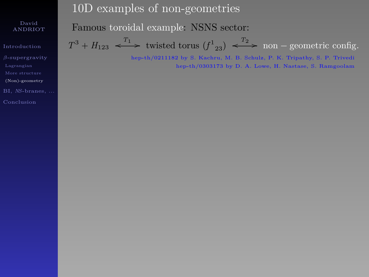[Introduction](#page-1-0) [\(Non\)-geometry](#page-50-0) BI, *NS*[-branes, ...](#page-67-0) 10D examples of non-geometries

Famous toroidal example: NSNS sector:

 $T^3 + H_{123} \xrightarrow{T_1}$  twisted torus  $(f_{23}) \xrightarrow{T_2}$  non – geometric config.

hep-th/0211182 by S. Kachru, M. B. Schulz, P. K. Tripathy, S. P. Trivedi hep-th/0303173 by D. A. Lowe, H. Nastase, S. Ramgoolam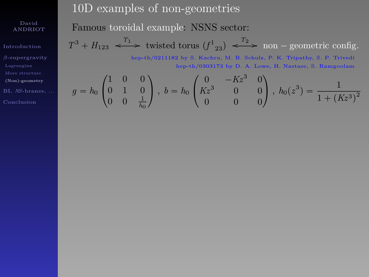[Introduction](#page-1-0) [\(Non\)-geometry](#page-50-0) BI, *NS*[-branes, ...](#page-67-0) 10D examples of non-geometries

Famous toroidal example: NSNS sector:

 $T^3 + H_{123} \xrightarrow{T_1}$  twisted torus  $(f_{23}) \xrightarrow{T_2}$  non – geometric config.

hep-th/0211182 by S. Kachru, M. B. Schulz, P. K. Tripathy, S. P. Trivedi hep-th/0303173 by D. A. Lowe, H. Nastase, S. Ramgoolam

$$
g = h_0 \begin{pmatrix} 1 & 0 & 0 \\ 0 & 1 & 0 \\ 0 & 0 & \frac{1}{h_0} \end{pmatrix}, b = h_0 \begin{pmatrix} 0 & -Kz^3 & 0 \\ Kz^3 & 0 & 0 \\ 0 & 0 & 0 \end{pmatrix}, h_0(z^3) = \frac{1}{1 + (Kz^3)^2}
$$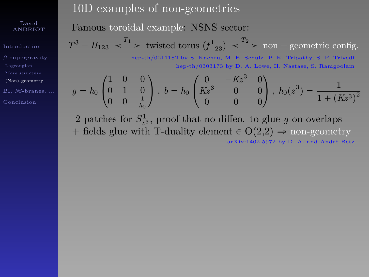[Introduction](#page-1-0) [\(Non\)-geometry](#page-50-0) BI, *NS*[-branes, ...](#page-67-0) 10D examples of non-geometries

Famous toroidal example: NSNS sector:

 $T^3 + H_{123} \xrightarrow{T_1}$  twisted torus  $(f_{23}) \xrightarrow{T_2}$  non – geometric config. hep-th/0211182 by S. Kachru, M. B. Schulz, P. K. Tripathy, S. P. Trivedi

hep-th/0303173 by D. A. Lowe, H. Nastase, S. Ramgoolam

$$
g = h_0 \begin{pmatrix} 1 & 0 & 0 \\ 0 & 1 & 0 \\ 0 & 0 & \frac{1}{h_0} \end{pmatrix}, b = h_0 \begin{pmatrix} 0 & -Kz^3 & 0 \\ Kz^3 & 0 & 0 \\ 0 & 0 & 0 \end{pmatrix}, h_0(z^3) = \frac{1}{1 + (Kz^3)^2}
$$

2 patches for  $S^1_{z^3}$ , proof that no diffeo. to glue *g* on overlaps + fields glue with T-duality element  $\in O(2,2) \Rightarrow$  non-geometry arXiv:1402.5972 by D. A. and André Betz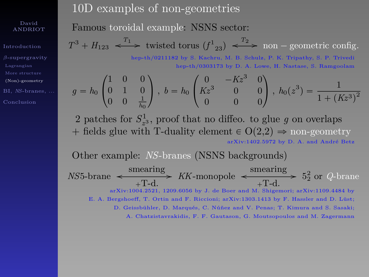[Introduction](#page-1-0) [\(Non\)-geometry](#page-50-0) [Conclusion](#page-100-0)

### 10D examples of non-geometries

Famous toroidal example: NSNS sector:

 $T^3 + H_{123} \xrightarrow{T_1}$  twisted torus  $(f_{23}) \xrightarrow{T_2}$  non – geometric config. hep-th/0211182 by S. Kachru, M. B. Schulz, P. K. Tripathy, S. P. Trivedi

hep-th/0303173 by D. A. Lowe, H. Nastase, S. Ramgoolam

$$
g = h_0 \begin{pmatrix} 1 & 0 & 0 \\ 0 & 1 & 0 \\ 0 & 0 & \frac{1}{h_0} \end{pmatrix}, b = h_0 \begin{pmatrix} 0 & -Kz^3 & 0 \\ Kz^3 & 0 & 0 \\ 0 & 0 & 0 \end{pmatrix}, h_0(z^3) = \frac{1}{1 + (Kz^3)^2}
$$

2 patches for  $S^1_{z^3}$ , proof that no diffeo. to glue *g* on overlaps + fields glue with T-duality element  $\in O(2,2) \Rightarrow$  non-geometry arXiv:1402.5972 by D. A. and André Betz

Other example: *NS*-branes (NSNS backgrounds)  $NS5$ -brane  $\leftarrow$  smearing  $\frac{\text{meaning}}{\text{+T-d.}}$  *KK*-monopole  $\leftarrow$   $\frac{\text{smearing}}{\text{+T-d.}}$  $\frac{\text{mean msg}}{+T-d.}$  5<sup>2</sup> or *Q*-brane arXiv:1004.2521, 1209.6056 by J. de Boer and M. Shigemori; arXiv:1109.4484 by E. A. Bergshoeff, T. Ortin and F. Riccioni; arXiv:1303.1413 by F. Hassler and D. Lüst; D. Geissbühler, D. Marqués, C. Núñez and V. Penas; T. Kimura and S. Sasaki; A. Chatzistavrakidis, F. F. Gautason, G. Moutsopoulos and M. Zagermann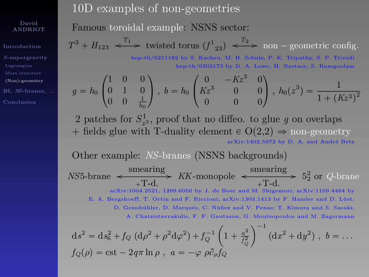[Introduction](#page-1-0) *β*[-supergravity](#page-30-0) [\(Non\)-geometry](#page-50-0) [Conclusion](#page-100-0)

10D examples of non-geometries

Famous toroidal example: NSNS sector:

 $T^3 + H_{123} \xrightarrow{T_1}$  twisted torus  $(f_{23}) \xrightarrow{T_2}$  non – geometric config. hep-th/0211182 by S. Kachru, M. B. Schulz, P. K. Tripathy, S. P. Trivedi

hep-th/0303173 by D. A. Lowe, H. Nastase, S. Ramgoolam

$$
g = h_0 \begin{pmatrix} 1 & 0 & 0 \\ 0 & 1 & 0 \\ 0 & 0 & \frac{1}{h_0} \end{pmatrix}, b = h_0 \begin{pmatrix} 0 & -Kz^3 & 0 \\ Kz^3 & 0 & 0 \\ 0 & 0 & 0 \end{pmatrix}, h_0(z^3) = \frac{1}{1 + (Kz^3)^2}
$$

2 patches for  $S^1_{z^3}$ , proof that no diffeo. to glue *g* on overlaps + fields glue with T-duality element  $\in O(2,2) \Rightarrow$  non-geometry arXiv:1402.5972 by D. A. and André Betz

Other example: *NS*-branes (NSNS backgrounds)  $NS5$ -brane  $\leftarrow$  smearing  $\frac{\text{meaning}}{\text{+T-d.}}$  *KK*-monopole  $\leftarrow$   $\frac{\text{smearing}}{\text{+T-d.}}$  $\frac{\text{mean msg}}{+T-d.}$  5<sup>2</sup> or *Q*-brane arXiv:1004.2521, 1209.6056 by J. de Boer and M. Shigemori; arXiv:1109.4484 by E. A. Bergshoeff, T. Ortin and F. Riccioni; arXiv:1303.1413 by F. Hassler and D. Lüst; D. Geissbühler, D. Marqués, C. Núñez and V. Penas; T. Kimura and S. Sasaki; A. Chatzistavrakidis, F. F. Gautason, G. Moutsopoulos and M. Zagermann<br>  $\left( \begin{array}{c} 0 \end{array} \right)^{-1}$ 

$$
ds^{2} = ds_{6}^{2} + f_{Q} (d\rho^{2} + \rho^{2} d\varphi^{2}) + f_{Q}^{-1} \left( 1 + \frac{a^{2}}{f_{Q}^{2}} \right)^{-1} (dx^{2} + dy^{2}), b = ...
$$
  

$$
f_{Q}(\rho) = \text{cst} - 2q\pi \ln \rho, a = -\varphi \rho \partial_{\rho} f_{Q}
$$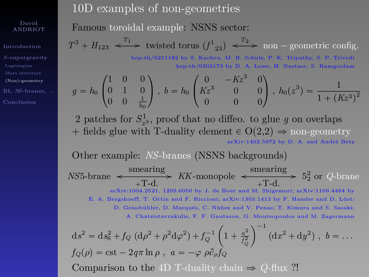[Introduction](#page-1-0) [\(Non\)-geometry](#page-50-0) BI, *NS*[-branes, ...](#page-67-0) [Conclusion](#page-100-0)

10D examples of non-geometries

Famous toroidal example: NSNS sector:

 $T^3 + H_{123} \xrightarrow{T_1}$  twisted torus  $(f_{23}) \xrightarrow{T_2}$  non – geometric config. hep-th/0211182 by S. Kachru, M. B. Schulz, P. K. Tripathy, S. P. Trivedi

hep-th/0303173 by D. A. Lowe, H. Nastase, S. Ramgoolam

$$
g = h_0 \begin{pmatrix} 1 & 0 & 0 \\ 0 & 1 & 0 \\ 0 & 0 & \frac{1}{h_0} \end{pmatrix}, b = h_0 \begin{pmatrix} 0 & -Kz^3 & 0 \\ Kz^3 & 0 & 0 \\ 0 & 0 & 0 \end{pmatrix}, h_0(z^3) = \frac{1}{1 + (Kz^3)^2}
$$

2 patches for  $S^1_{z^3}$ , proof that no diffeo. to glue *g* on overlaps + fields glue with T-duality element  $\in O(2,2) \Rightarrow$  non-geometry arXiv:1402.5972 by D. A. and André Betz

Other example: *NS*-branes (NSNS backgrounds)  $NS5$ -brane  $\leftarrow$  smearing  $\frac{\text{meaning}}{\text{+T-d.}}$  *KK*-monopole  $\leftarrow$   $\frac{\text{smearing}}{\text{+T-d.}}$  $\frac{\text{mean msg}}{+T-d.}$  5<sup>2</sup> or *Q*-brane arXiv:1004.2521, 1209.6056 by J. de Boer and M. Shigemori; arXiv:1109.4484 by E. A. Bergshoeff, T. Ortin and F. Riccioni; arXiv:1303.1413 by F. Hassler and D. Lüst; D. Geissbühler, D. Marqués, C. Núñez and V. Penas; T. Kimura and S. Sasaki; A. Chatzistavrakidis, F. F. Gautason, G. Moutsopoulos and M. Zagermann  $ds^2 = ds_6^2 + f_Q (d\rho^2 + \rho^2 d\varphi^2) + f_Q^{-1}$ ˆ  $1 + \frac{a^2}{f^2}$  $\sqrt{-1}$  $(\mathrm{d}x^2 + \mathrm{d}y^2)$ ,  $b = \dots$ 

$$
f_Q(\rho) = \text{cst} - 2q\pi \ln \rho, \quad a = -\varphi \rho \partial_\rho f_Q \quad (dx + dy), \quad \theta = \dots
$$
  
 
$$
f_Q(\rho) = \text{cst} - 2q\pi \ln \rho, \quad a = -\varphi \rho \partial_\rho f_Q
$$
  
 Comparison to the 4D T-duality chain  $\Rightarrow$  Q-flux ?!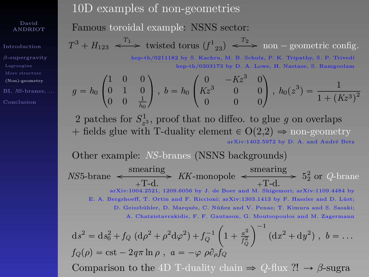[Introduction](#page-1-0) *β*[-supergravity](#page-30-0) [\(Non\)-geometry](#page-50-0) BI, *NS*[-branes, ...](#page-67-0) [Conclusion](#page-100-0)

10D examples of non-geometries

Famous toroidal example: NSNS sector:

 $T^3 + H_{123} \xrightarrow{T_1}$  twisted torus  $(f_{23}) \xrightarrow{T_2}$  non – geometric config. hep-th/0211182 by S. Kachru, M. B. Schulz, P. K. Tripathy, S. P. Trivedi

hep-th/0303173 by D. A. Lowe, H. Nastase, S. Ramgoolam

$$
g = h_0 \begin{pmatrix} 1 & 0 & 0 \\ 0 & 1 & 0 \\ 0 & 0 & \frac{1}{h_0} \end{pmatrix}, b = h_0 \begin{pmatrix} 0 & -Kz^3 & 0 \\ Kz^3 & 0 & 0 \\ 0 & 0 & 0 \end{pmatrix}, h_0(z^3) = \frac{1}{1 + (Kz^3)^2}
$$

2 patches for  $S^1_{z^3}$ , proof that no diffeo. to glue *g* on overlaps + fields glue with T-duality element  $\in O(2,2) \Rightarrow$  non-geometry arXiv:1402.5972 by D. A. and André Betz

Other example: *NS*-branes (NSNS backgrounds)  $NS5$ -brane  $\leftarrow$  smearing  $\frac{\text{meaning}}{\text{+T-d.}}$  *KK*-monopole  $\leftarrow$   $\frac{\text{smearing}}{\text{+T-d.}}$  $\frac{\text{mean msg}}{+T-d.}$  5<sup>2</sup> or *Q*-brane arXiv:1004.2521, 1209.6056 by J. de Boer and M. Shigemori; arXiv:1109.4484 by E. A. Bergshoeff, T. Ortin and F. Riccioni; arXiv:1303.1413 by F. Hassler and D. Lüst; D. Geissbühler, D. Marqués, C. Núñez and V. Penas; T. Kimura and S. Sasaki; A. Chatzistavrakidis, F. F. Gautason, G. Moutsopoulos and M. Zagermann ˆ 2 **∴** −1

$$
ds^{2} = ds_{6}^{2} + f_{Q} (d\rho^{2} + \rho^{2} d\varphi^{2}) + f_{Q}^{-1} \left( 1 + \frac{a^{2}}{f_{Q}^{2}} \right) (dx^{2} + dy^{2}), b = ...
$$
  
\n
$$
f_{Q}(\rho) = \text{cst} - 2q\pi \ln \rho, a = -\varphi \rho \partial_{\rho} f_{Q}
$$
  
\nComparison to the 4D T-duality chain  $\Rightarrow Q$ -flux ??  $\rightarrow \beta$ -sugra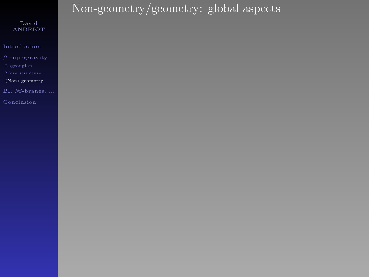[Introduction](#page-1-0)

[\(Non\)-geometry](#page-50-0)

# Non-geometry/geometry: global aspects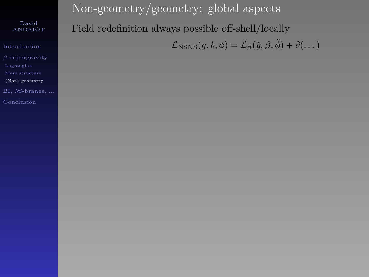[Introduction](#page-1-0) [\(Non\)-geometry](#page-50-0) BI, *NS*[-branes, ...](#page-67-0)

Non-geometry/geometry: global aspects Field redefinition always possible off-shell/locally  $\mathcal{L}_{NSNS}(g, b, \phi) = \tilde{\mathcal{L}}_{\beta}(\tilde{g}, \beta, \tilde{\phi}) + \partial (\dots)$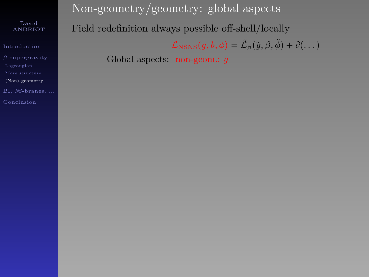[Introduction](#page-1-0)

[\(Non\)-geometry](#page-50-0)

BI, *NS*[-branes, ...](#page-67-0)

Non-geometry/geometry: global aspects Field redefinition always possible off-shell/locally  $\mathcal{L}_{\text{NSNS}}(g, b, \phi) = \tilde{\mathcal{L}}_{\beta}(\tilde{g}, \beta, \tilde{\phi}) + \partial(\dots)$ Global aspects: non-geom.: *g*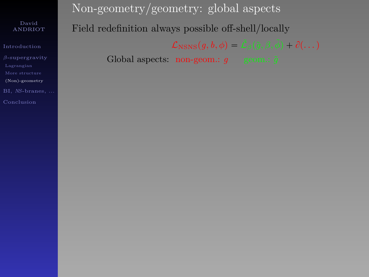[Introduction](#page-1-0)

[\(Non\)-geometry](#page-50-0)

BI, *NS*[-branes, ...](#page-67-0)

Non-geometry/geometry: global aspects Field redefinition always possible off-shell/locally  $\mathcal{L}_{\text{NSNS}}(g, b, \phi) = \tilde{\mathcal{L}}_{\beta}(\tilde{g}, \beta, \tilde{\phi}) + \partial(\dots)$ Global aspects: non-geom.:  $q$  geom.:  $\tilde{q}$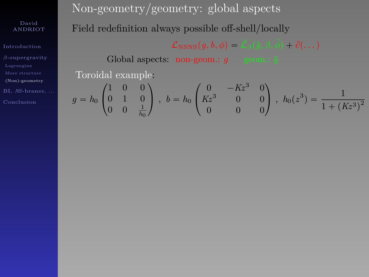[Introduction](#page-1-0) [\(Non\)-geometry](#page-50-0) BI, *NS*[-branes, ...](#page-67-0)

Non-geometry/geometry: global aspects Field redefinition always possible off-shell/locally  $\mathcal{L}_{\text{NSNS}}(g, b, \phi) = \tilde{\mathcal{L}}_{\beta}(\tilde{g}, \beta, \tilde{\phi}) + \partial (\dots)$ 

Global aspects: non-geom.:  $q \quad$  geom.:  $\tilde{q}$ Toroidal example:

$$
g=h_0\begin{pmatrix} 1 & 0 & 0 \\ 0 & 1 & 0 \\ 0 & 0 & \frac{1}{h_0} \end{pmatrix}\,,\ b=h_0\begin{pmatrix} 0 & -Kz^3 & 0 \\ Kz^3 & 0 & 0 \\ 0 & 0 & 0 \end{pmatrix}\,,\ h_0(z^3)=\frac{1}{1+\left(Kz^3\right)^2}
$$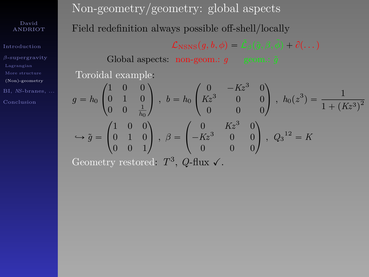[Introduction](#page-1-0) [\(Non\)-geometry](#page-50-0) BI, *NS*[-branes, ...](#page-67-0) Non-geometry/geometry: global aspects Field redefinition always possible off-shell/locally  $\mathcal{L}_{\text{NSNS}}(q, b, \phi) = \tilde{\mathcal{L}}_{\beta}(\tilde{q}, \beta, \tilde{\phi}) + \partial(\dots)$ 

Global aspects: non-geom.:  $q \quad \text{geom}$ .:  $\tilde{q}$ Toroidal example:

$$
g = h_0 \begin{pmatrix} 1 & 0 & 0 \\ 0 & 1 & 0 \\ 0 & 0 & \frac{1}{h_0} \end{pmatrix}, b = h_0 \begin{pmatrix} 0 & -Kz^3 & 0 \\ Kz^3 & 0 & 0 \\ 0 & 0 & 0 \end{pmatrix}, h_0(z^3) = \frac{1}{1 + (Kz^3)^2}
$$

$$
\hookrightarrow \tilde{g} = \begin{pmatrix} 1 & 0 & 0 \\ 0 & 1 & 0 \\ 0 & 0 & 1 \end{pmatrix}, \beta = \begin{pmatrix} 0 & Kz^3 & 0 \\ -Kz^3 & 0 & 0 \\ 0 & 0 & 0 \end{pmatrix}, Q_3^{12} = K
$$

Geometry restored:  $T^3$ , *Q*-flux  $\checkmark$ .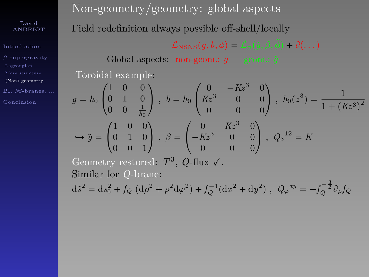[Introduction](#page-1-0) [\(Non\)-geometry](#page-50-0) Non-geometry/geometry: global aspects Field redefinition always possible off-shell/locally  $\mathcal{L}_{\text{NSNS}}(q, b, \phi) = \mathcal{L}_{\beta}(\tilde{q}, \beta, \phi) + \partial(\dots)$ 

Global aspects:  $\overline{\text{non-geom}}$ : *g* geom.:  $\tilde{q}$ Toroidal example:

$$
g = h_0 \begin{pmatrix} 1 & 0 & 0 \\ 0 & 1 & 0 \\ 0 & 0 & \frac{1}{h_0} \end{pmatrix}, b = h_0 \begin{pmatrix} 0 & -Kz^3 & 0 \\ Kz^3 & 0 & 0 \\ 0 & 0 & 0 \end{pmatrix}, h_0(z^3) = \frac{1}{1 + (Kz^3)^2}
$$

$$
\hookrightarrow \tilde{g} = \begin{pmatrix} 1 & 0 & 0 \\ 0 & 1 & 0 \\ 0 & 0 & 1 \end{pmatrix}, \beta = \begin{pmatrix} 0 & Kz^3 & 0 \\ -Kz^3 & 0 & 0 \\ 0 & 0 & 0 \end{pmatrix}, Q_3^{12} = K
$$

Geometry restored:  $T^3$ , *Q*-flux  $\checkmark$ . Similar for *Q*-brane:  $d\tilde{s}^2 = ds_6^2 + f_Q (d\rho^2 + \rho^2 d\varphi^2) + f_Q^{-1} (dx^2 + dy^2)$ ,  $Q_{\varphi}^{xy} = -f_Q^{-\frac{3}{2}} \partial_{\rho} f_Q$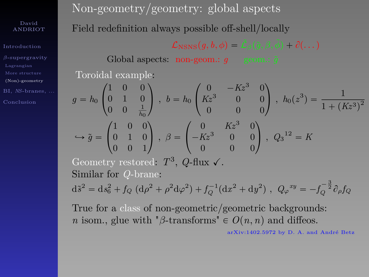[Introduction](#page-1-0) [\(Non\)-geometry](#page-50-0) BI, *NS*[-branes, ...](#page-67-0) Non-geometry/geometry: global aspects Field redefinition always possible off-shell/locally  $\mathcal{L}_{\text{NSNS}}(q, b, \phi) = \mathcal{L}_{\beta}(\tilde{q}, \beta, \phi) + \partial(\dots)$ 

Global aspects:  $\overline{\text{non-geom}}$ : *g* geom.:  $\tilde{g}$ 

Toroidal example:

\n
$$
g = h_0 \begin{pmatrix} 1 & 0 & 0 \\ 0 & 1 & 0 \\ 0 & 0 & \frac{1}{h_0} \end{pmatrix}, \quad b = h_0 \begin{pmatrix} 0 & -Kz^3 & 0 \\ Kz^3 & 0 & 0 \\ 0 & 0 & 0 \end{pmatrix}, \quad h_0(z^3) = \frac{1}{1 + (Kz^3)^2}
$$
\n⇒

\n
$$
\tilde{g} = \begin{pmatrix} 1 & 0 & 0 \\ 0 & 1 & 0 \\ 0 & 0 & 1 \end{pmatrix}, \quad \beta = \begin{pmatrix} 0 & Kz^3 & 0 \\ -Kz^3 & 0 & 0 \\ 0 & 0 & 0 \end{pmatrix}, \quad Q_3^{12} = K
$$

Geometry restored:  $T^3$ , *Q*-flux  $\checkmark$ . Similar for *Q*-brane:  $d\tilde{s}^2 = ds_6^2 + f_Q (d\rho^2 + \rho^2 d\varphi^2) + f_Q^{-1} (dx^2 + dy^2)$ ,  $Q_{\varphi}^{xy} = -f_Q^{-\frac{3}{2}} \partial_{\rho} f_Q$ 

True for a class of non-geometric/geometric backgrounds: *n* isom., glue with " $\beta$ -transforms"  $\in O(n, n)$  and diffeos.

arXiv:1402.5972 by D. A. and André Betz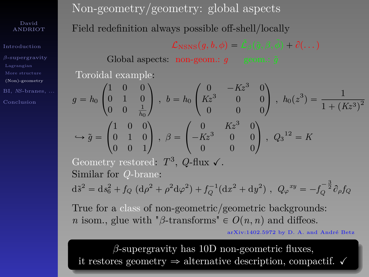[Introduction](#page-1-0) [\(Non\)-geometry](#page-50-0) BI, *NS*[-branes, ...](#page-67-0) Non-geometry/geometry: global aspects Field redefinition always possible off-shell/locally

 $\mathcal{L}_{\text{NSNS}}(q, b, \phi) = \mathcal{L}_{\beta}(\tilde{q}, \beta, \phi) + \partial(\dots)$ 

Global aspects: non-geom.:  $g \circ$  geom.:  $\tilde{g}$ Toroidal example:

$$
g = h_0 \begin{pmatrix} 1 & 0 & 0 \\ 0 & 1 & 0 \\ 0 & 0 & \frac{1}{h_0} \end{pmatrix}, b = h_0 \begin{pmatrix} 0 & -Kz^3 & 0 \\ Kz^3 & 0 & 0 \\ 0 & 0 & 0 \end{pmatrix}, h_0(z^3) = \frac{1}{1 + (Kz^3)^2}
$$

$$
\hookrightarrow \tilde{g} = \begin{pmatrix} 1 & 0 & 0 \\ 0 & 1 & 0 \\ 0 & 0 & 1 \end{pmatrix}, \beta = \begin{pmatrix} 0 & Kz^3 & 0 \\ -Kz^3 & 0 & 0 \\ 0 & 0 & 0 \end{pmatrix}, Q_3^{12} = K
$$

Geometry restored:  $T^3$ , *Q*-flux  $\checkmark$ . Similar for *Q*-brane:  $d\tilde{s}^2 = ds_6^2 + f_Q (d\rho^2 + \rho^2 d\varphi^2) + f_Q^{-1} (dx^2 + dy^2)$ ,  $Q_{\varphi}^{xy} = -f_Q^{-\frac{3}{2}} \partial_{\rho} f_Q$ 

True for a class of non-geometric/geometric backgrounds: *n* isom., glue with " $\beta$ -transforms"  $\in O(n, n)$  and diffeos.

arXiv:1402.5972 by D. A. and André Betz

*β*-supergravity has 10D non-geometric fluxes, it restores geometry  $\Rightarrow$  alternative description, compactif.  $\checkmark$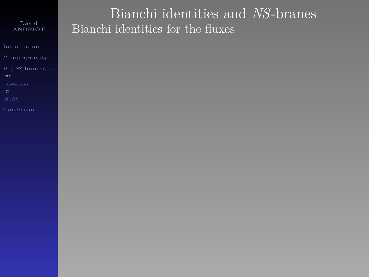[Introduction](#page-1-0)

BI, *NS*[-branes, ...](#page-67-0)

[BI](#page-67-0)

<span id="page-67-0"></span>

# Bianchi identities and *NS*-branes Bianchi identities for the fluxes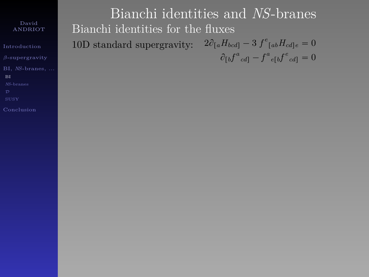[Introduction](#page-1-0)

BI, *NS*[-branes, ...](#page-67-0)

[BI](#page-67-0)

Bianchi identities and *NS*-branes Bianchi identities for the fluxes 10D standard supergravity:  $2\partial_{a}H_{bcd} - 3 f^e_{[ab}H_{cd]e} = 0$  $\partial_{[b} f^a{}_{cd]} - f^a{}_{e[b} f^e{}_{cd]} = 0$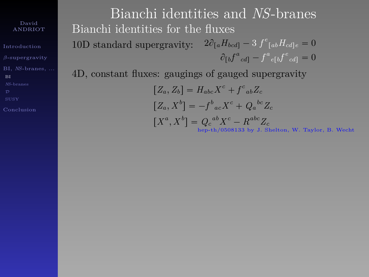[Introduction](#page-1-0) BI, *NS*[-branes, ...](#page-67-0) [BI](#page-67-0)

[Conclusion](#page-100-0)

Bianchi identities and *NS*-branes Bianchi identities for the fluxes 10D standard supergravity:  $2\partial_{a}H_{bcd} - 3 f^e_{[ab}H_{cd]e} = 0$  $\partial_{\llbracket b}\!f^a{}_{cd}\rrbracket - f^a{}_{e\llbracket b}\!f^e{}_{cd}\rrbracket = 0$ 

4D, constant fluxes: gaugings of gauged supergravity

 $[Z_a, Z_b] = H_{abc}X^c + f^c{}_{ab}Z_c$  $\left[Z_a, X^b\right] = -f^b{}_{ac}X^c + Q_a{}^{bc}Z_c$  $[X^{a}, X^{b}] = Q_{c}^{ab}X^{c} - R^{abc}Z_{c}$ hep-th/0508133 by J. Shelton, W. Taylor, B. Wecht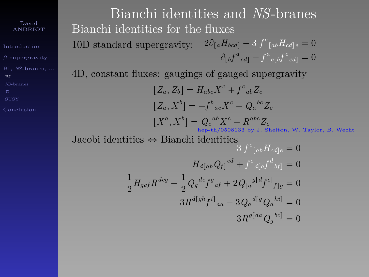[Introduction](#page-1-0) BI, *NS*[-branes, ...](#page-67-0) [BI](#page-67-0)

Bianchi identities and *NS*-branes Bianchi identities for the fluxes 10D standard supergravity:  $2\partial_{a}H_{bcd} - 3 f^e_{[ab}H_{cd]e} = 0$  $\partial_{\llbracket b}\!f^a{}_{cd}\rrbracket - f^a{}_{e\llbracket b}\!f^e{}_{cd}\rrbracket = 0$ 

4D, constant fluxes: gaugings of gauged supergravity

$$
[Z_a, Z_b] = H_{abc}X^c + f^c{}_{ab}Z_c
$$
  
\n
$$
[Z_a, X^b] = -f^b{}_{ac}X^c + Q_a{}^{bc}Z_c
$$
  
\n
$$
[X^a, X^b] = Q_c{}^{ab}X^c - R^{abc}Z_c
$$
  
\n
$$
P^{c+b}/0508133 \text{ by J. Shelton, W. Taylor, B. Wecht}
$$

Jacobi identities  $\Leftrightarrow$  Bianchi identities

$$
3 f^{e}_{[ab} H_{cd]c} = 0
$$
  
\n
$$
H_{d[a b} Q_{f]}^{ed} + f^{e}_{d[a} f^{d}_{b f]} = 0
$$
  
\n
$$
\frac{1}{2} H_{gaf} R^{deg} - \frac{1}{2} Q_{g}^{def} f^{g}_{af} + 2 Q_{[a}^{g[d} f^{e]}_{fg]} = 0
$$
  
\n
$$
3 R^{d[gh} f^{i]}_{ad} - 3 Q_{a}^{d[g} Q_{d}^{h i]} = 0
$$
  
\n
$$
3 R^{g[da} Q_{g}^{bc]} = 0
$$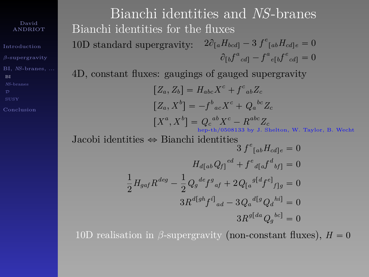[Introduction](#page-1-0) BI, *NS*[-branes, ...](#page-67-0) [BI](#page-67-0)

Bianchi identities and *NS*-branes Bianchi identities for the fluxes 10D standard supergravity:  $2\partial_{a}H_{bcd} - 3 f^e_{[ab}H_{cd]e} = 0$  $\partial_{[b} f^a{}_{cd]} - f^a{}_{e[b} f^e{}_{cd]} = 0$ 

4D, constant fluxes: gaugings of gauged supergravity

$$
[Z_a, Z_b] = H_{abc} X^c + f^c{}_{ab} Z_c
$$
  
\n
$$
[Z_a, X^b] = -f^b{}_{ac} X^c + Q_a{}^{bc} Z_c
$$
  
\n
$$
[X^a, X^b] = Q_c{}^{ab} X^c - R^{abc} Z_c
$$
  
\n
$$
[X^a, X^b] = [X^a, X^b] \text{ is defined by } X^c.
$$
  
\n
$$
[X^a, X^b] = [X^a, X^b] \text{ is defined by } X^c.
$$
  
\n
$$
[X^a, X^b] = [X^a, X^b] \text{ is defined by } X^c.
$$

Jacobi identities 
$$
\Leftrightarrow
$$
 Bianchi identities  
\n
$$
3 f^{e}_{[ab} H_{cd]e} = 0
$$
\n
$$
H_{d[ab} Q_{f]}^{ed} + f^{e}_{d[a} f^{d}_{b} f] = 0
$$
\n
$$
\frac{1}{2} H_{gaf} R^{deg} - \frac{1}{2} Q_{g}^{def} g^{ef}_{af} + 2 Q_{[a}^{g[d} f^{e]}_{f]g} = 0
$$
\n
$$
3 R^{d[gh} f^{i]}_{ad} - 3 Q_{a}^{d[g} Q_{d}^{h i]} = 0
$$
\n
$$
3 R^{g[da} Q_{g}^{be]} = 0
$$

10D realisation in *β*-supergravity (non-constant fluxes),  $H = 0$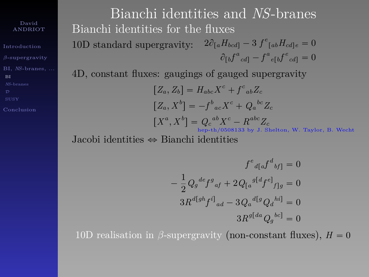[Introduction](#page-1-0) BI, *NS*[-branes, ...](#page-67-0) [BI](#page-67-0)

Bianchi identities and *NS*-branes Bianchi identities for the fluxes 10D standard supergravity:  $2\partial_{a}H_{bcd} - 3 f^e_{[ab}H_{cd]e} = 0$  $\partial_{[b} f^a{}_{cd]} - f^a{}_{e[b} f^e{}_{cd]} = 0$ 

4D, constant fluxes: gaugings of gauged supergravity

$$
[Z_a, Z_b] = H_{abc} X^c + f^c{}_{ab} Z_c
$$
  
\n
$$
[Z_a, X^b] = -f^b{}_{ac} X^c + Q_a{}^{bc} Z_c
$$
  
\n
$$
[X^a, X^b] = Q_c{}^{ab} X^c - R^{abc} Z_c
$$
  
\n
$$
{}_{\text{hep-th}/0508133 \text{ by } J. \text{ Shelton, W. Taylor, B. Wecht}
$$

Jacobi identities  $\Leftrightarrow$  Bianchi identities

$$
f^{e}{}_{d[a}f^{d}{}_{bf} = 0
$$

$$
-\frac{1}{2}Q_{g}{}^{def}f^{g}{}_{af} + 2Q_{[a}{}^{g[d}f^{e]}{}_{f]g} = 0
$$

$$
3R^{d[gh}f^{i]}{}_{ad} - 3Q_{a}{}^{d[g}Q_{d}{}^{hi]} = 0
$$

$$
3R^{g[da}Q_{g}{}^{bc]} = 0
$$

10D realisation in  $\beta$ -supergravity (non-constant fluxes),  $H = 0$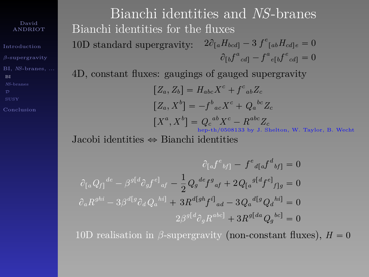[Introduction](#page-1-0) BI, *NS*[-branes, ...](#page-67-0) [BI](#page-67-0)

Bianchi identities and *NS*-branes Bianchi identities for the fluxes 10D standard supergravity:  $2\partial_{a}H_{bcd} - 3 f^e_{[ab}H_{cd]e} = 0$  $\partial_{[b} f^a{}_{cd]} - f^a{}_{e[b} f^e{}_{cd]} = 0$ 

4D, constant fluxes: gaugings of gauged supergravity

$$
[Z_a, Z_b] = H_{abc} X^c + f^c{}_{ab} Z_c
$$
  
\n
$$
[Z_a, X^b] = -f^b{}_{ac} X^c + Q_a{}^{bc} Z_c
$$
  
\n
$$
[X^a, X^b] = Q_c{}^{ab} X^c - R^{abc} Z_c
$$
  
\n
$$
{}_{\text{hep-th}/0508133 \text{ by J. Shelton, W. Taylor, B. Wecht}
$$

Jacobi identities  $\Leftrightarrow$  Bianchi identities

$$
\partial_{[a}f^{e}{}_{bf]} - f^{e}{}_{d[a}f^{d}{}_{bf]} = 0
$$

$$
\partial_{[a}Q_{f]}{}^{de} - \beta^{g[d}\partial_{g}f^{e]}{}_{af} - \frac{1}{2}Q_{g}{}^{def}{}^{g}{}_{af} + 2Q_{[a}{}^{g[d}f^{e]}{}_{f]g} = 0
$$

$$
\partial_{a}R^{ghi} - 3\beta^{d[g}\partial_{d}Q_{a}{}^{hi]} + 3R^{d[gh}f^{i]}{}_{ad} - 3Q_{a}{}^{d[g}Q_{d}{}^{hi]} = 0
$$

$$
2\beta^{g[d}\partial_{g}R^{abc]} + 3R^{g[da}Q_{g}{}^{bc]} = 0
$$

10D realisation in *β*-supergravity (non-constant fluxes),  $H = 0$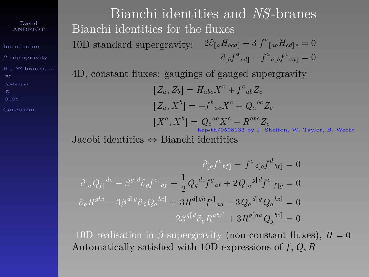[Introduction](#page-1-0) BI, *NS*[-branes, ...](#page-67-0) [BI](#page-67-0)

[Conclusion](#page-100-0)

Bianchi identities and *NS*-branes Bianchi identities for the fluxes 10D standard supergravity:  $2\partial_{a}H_{bcd} - 3 f^e_{[ab}H_{cd]e} = 0$  $\partial_{[b} f^a{}_{cd]} - f^a{}_{e[b} f^e{}_{cd]} = 0$ 

4D, constant fluxes: gaugings of gauged supergravity

$$
[Z_a, Z_b] = H_{abc} X^c + f^c{}_{ab} Z_c
$$
  
\n
$$
[Z_a, X^b] = -f^b{}_{ac} X^c + Q_a{}^{bc} Z_c
$$
  
\n
$$
[X^a, X^b] = Q_c{}^{ab} X^c - R^{abc} Z_c
$$
  
\n
$$
{}_{\text{hep-th}/0508133 \text{ by J. Shelton, W. Taylor, B. Wecht}
$$

Jacobi identities  $\Leftrightarrow$  Bianchi identities

$$
\partial_{[a}f^{e}{}_{bf]} - f^{e}{}_{d[a}f^{d}{}_{bf]} = 0
$$

$$
\partial_{[a}Q_{f]}{}^{de} - \beta^{g[d}\partial_{g}f^{e]}{}_{af} - \frac{1}{2}Q_{g}{}^{de}f^{g}{}_{af} + 2Q_{[a}{}^{g[d}f^{e]}{}_{f]g} = 0
$$

$$
\partial_{a}R^{ghi} - 3\beta^{d[g}\partial_{d}Q_{a}{}^{hi]} + 3R^{d[gh}f^{i]}{}_{ad} - 3Q_{a}{}^{d[g}Q_{d}{}^{hi]} = 0
$$

$$
2\beta^{g[d}\partial_{g}R^{abc]} + 3R^{g[da}Q_{g}{}^{bc]} = 0
$$

10D realisation in *β*-supergravity (non-constant fluxes),  $H = 0$ Automatically satisfied with 10D expressions of *f , Q, R*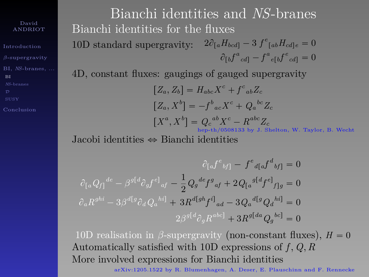[Introduction](#page-1-0) BI, *NS*[-branes, ...](#page-67-0) [BI](#page-67-0)

[Conclusion](#page-100-0)

Bianchi identities and *NS*-branes Bianchi identities for the fluxes 10D standard supergravity:  $2\partial_{a}H_{bcd} - 3 f^e_{[ab}H_{cd]e} = 0$  $\partial_{[b} f^a{}_{cd]} - f^a{}_{e[b} f^e{}_{cd]} = 0$ 

4D, constant fluxes: gaugings of gauged supergravity

$$
[Z_a, Z_b] = H_{abc} X^c + f^c{}_{ab} Z_c
$$
  
\n
$$
[Z_a, X^b] = -f^b{}_{ac} X^c + Q_a{}^{bc} Z_c
$$
  
\n
$$
[X^a, X^b] = Q_c{}^{ab} X^c - R^{abc} Z_c
$$
  
\n
$$
{}_{\text{hept-h/0508133 by J. Shelton, W. Taylor, B. Wecht}
$$

Jacobi identities  $\Leftrightarrow$  Bianchi identities

$$
\partial_{[a} f^{c}{}_{bf} - f^{e}{}_{d[a} f^{d}{}_{bf}] = 0
$$

$$
\partial_{[a} Q_{f]}{}^{de} - \beta^{g[d} \partial_{g} f^{e]}{}_{af} - \frac{1}{2} Q_{g}{}^{de} f^{g}{}_{af} + 2 Q_{[a}{}^{g[d} f^{e]}{}_{f]g} = 0
$$

$$
\partial_{a} R^{ghi} - 3 \beta^{d[g]} \partial_{d} Q_{a}{}^{hi} + 3 R^{d[gh} f^{i]}{}_{ad} - 3 Q_{a}{}^{d[g} Q_{d}{}^{hi}] = 0
$$

$$
2 \beta^{g[d} \partial_{g} R^{abc]} + 3 R^{g[da} Q_{g}{}^{bc]} = 0
$$

10D realisation in *β*-supergravity (non-constant fluxes),  $H = 0$ Automatically satisfied with 10D expressions of *f , Q, R* More involved expressions for Bianchi identities

arXiv:1205.1522 by R. Blumenhagen, A. Deser, E. Plauschinn and F. Rennecke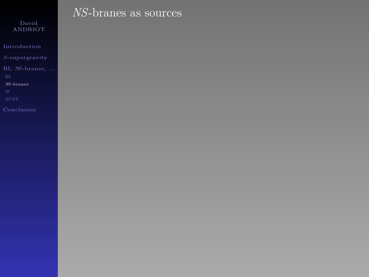[Introduction](#page-1-0)

*NS*[-branes](#page-76-0)

<span id="page-76-0"></span>

# *NS*-branes as sources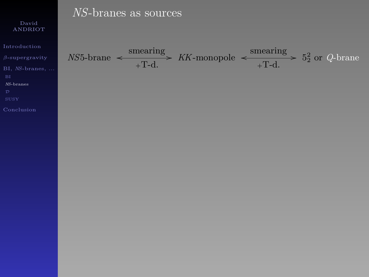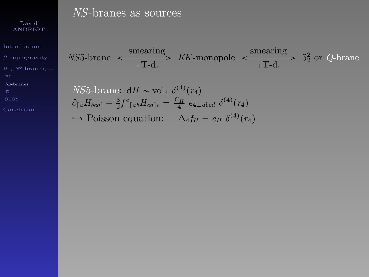[Introduction](#page-1-0)

BI, *NS*[-branes, ...](#page-67-0)

*NS*[-branes](#page-76-0)

## *NS*-branes as sources

 $NS5$ -brane  $\leftarrow$   $\overline{+T-d}$ .  $\frac{\text{smearing}}{\text{m} \cdot \text{d}}$  *KK*-monopole  $\leftarrow$   $\frac{\text{smearing}}{\text{m} \cdot \text{d}}$  $\frac{\text{neamag}}{+T-d.}$  > 5<sup>2</sup> or *Q*-brane

$$
NS5\text{-brane: } \mathrm{d}H \sim \mathrm{vol}_4 \, \, \delta^{(4)}(r_4) \n\hat{\theta}_{[a}H_{bcd]} - \frac{3}{2} f^e_{[ab}H_{cd]e} = \frac{C_H}{4} \, \epsilon_{4 \perp abcd} \, \delta^{(4)}(r_4)
$$

 $\hookrightarrow$  Poisson equation:  $\Delta_4 f_H = c_H \delta^{(4)}(r_4)$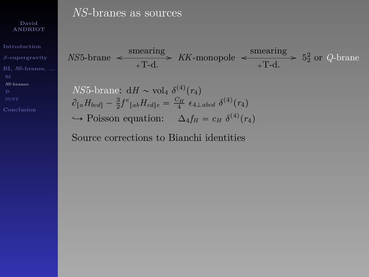[Introduction](#page-1-0)

BI, *NS*[-branes, ...](#page-67-0)

*NS*[-branes](#page-76-0)

### *NS*-branes as sources

 $NS5$ -brane  $\leftarrow$   $\overline{+T-d}$ .  $\frac{\text{smearing}}{\text{m} \cdot \text{d}}$  *KK*-monopole  $\leftarrow$   $\frac{\text{smearing}}{\text{m} \cdot \text{d}}$  $\frac{\text{neamag}}{+T-d.}$  > 5<sup>2</sup> or *Q*-brane

*NS*5-brane: 
$$
dH \sim \text{vol}_4 \delta^{(4)}(r_4)
$$
  
\n $\partial_{[a}H_{bcd]} - \frac{3}{2}f^e_{[ab}H_{cd]e} = \frac{C_H}{4} \epsilon_{4\perp abcd} \delta^{(4)}(r_4)$ 

 $\hookrightarrow$  Poisson equation:  $\Delta_4 f_H = c_H \delta^{(4)}(r_4)$ 

Source corrections to Bianchi identities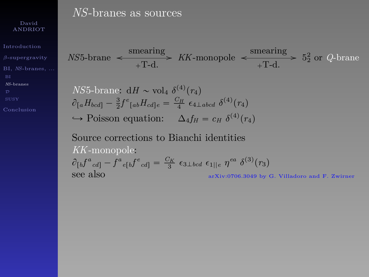[Introduction](#page-1-0)

BI, *NS*[-branes, ...](#page-67-0)

*NS*[-branes](#page-76-0)

### *NS*-branes as sources

 $NS5$ -brane  $\leftarrow$  smearing  $\frac{\text{meaning}}{\text{+T-d.}}$  *KK*-monopole  $\leftarrow$   $\frac{\text{smearing}}{\text{+T-d.}}$  $\frac{\text{neamag}}{+T-d.}$  > 5<sup>2</sup> or *Q*-brane

$$
NS5\text{-brane: } \mathrm{d}H \sim \mathrm{vol}_4 \, \delta^{(4)}(r_4)
$$
\n
$$
\partial_{[a}H_{bcd]} - \frac{3}{2}f^e_{[ab}H_{cd]e} = \frac{C_H}{4} \epsilon_{4\perp abcd} \, \delta^{(4)}(r_4)
$$

 $\hookrightarrow$  Poisson equation:  $\Delta_4 f_H = c_H \delta^{(4)}(r_4)$ 

Source corrections to Bianchi identities *KK*-monopole:  $\partial_{[b} f^a{}_{cd]} - f^a{}_{e[b} f^e{}_{cd]} = \frac{C_K}{3} \epsilon_{3 \perp bcd} \epsilon_{1||e} \eta^{ea} \delta^{(3)}(r_3)$ see also arXiv:0706.3049 by G. Villadoro and F. Zwirner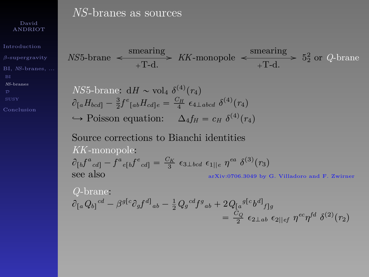[Introduction](#page-1-0)

BI, *NS*[-branes, ...](#page-67-0)

*NS*[-branes](#page-76-0)

### *NS*-branes as sources

 $NS5$ -brane  $\leftarrow$  smearing  $\frac{\text{meaning}}{\text{+T-d.}}$  *KK*-monopole  $\leftarrow$   $\frac{\text{smearing}}{\text{+T-d.}}$  $\frac{\text{neamag}}{+T-d.}$  > 5<sup>2</sup> or *Q*-brane

$$
NS5\text{-brane: } \mathrm{d}H \sim \mathrm{vol}_4 \, \, \delta^{(4)}(r_4)
$$
\n
$$
\partial_{[a}H_{bcd]} - \frac{3}{2}f^e_{[ab}H_{cd]e} = \frac{C_H}{4} \, \epsilon_{4 \perp abcd} \, \delta^{(4)}(r_4)
$$

 $\hookrightarrow$  Poisson equation:  $\Delta_4 f_H = c_H \delta^{(4)}(r_4)$ 

Source corrections to Bianchi identities *KK*-monopole:  $\partial_{[b} f^a{}_{cd]} - f^a{}_{e[b} f^e{}_{cd]} = \frac{C_K}{3} \epsilon_{3 \perp bcd} \epsilon_{1||e} \eta^{ea} \delta^{(3)}(r_3)$ see also arXiv:0706.3049 by G. Villadoro and F. Zwirner

Q-brane:  
\n
$$
\partial_{[a}Q_{b]}^{cd} - \beta^{g[c}\partial_{g}f^{d]}_{ab} - \frac{1}{2}Q_{g}^{cd}f^{g}_{ab} + 2Q_{[a}^{g[c}b^{d]}_{f]g}
$$
\n
$$
= \frac{C_{Q}}{2} \epsilon_{2\perp ab} \epsilon_{2||ef} \eta^{ec}\eta^{fd} \delta^{(2)}(r_{2})
$$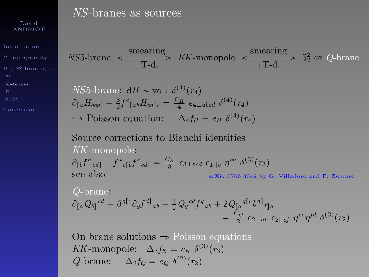[Introduction](#page-1-0)

BI, *NS*[-branes, ...](#page-67-0)

*NS*[-branes](#page-76-0)

[Conclusion](#page-100-0)

### *NS*-branes as sources

 $NS5$ -brane  $\leftarrow$  smearing  $\frac{\text{meaning}}{\text{+T-d.}}$  *KK*-monopole  $\leftarrow$   $\frac{\text{smearing}}{\text{+T-d.}}$  $\frac{\text{neamag}}{+T-d.}$  > 5<sup>2</sup> or *Q*-brane

$$
NS5\text{-brane: } \mathrm{d}H \sim \mathrm{vol}_4 \, \, \delta^{(4)}(r_4)
$$
\n
$$
\partial_{[a}H_{bcd]} - \frac{3}{2}f^e_{[ab}H_{cd]e} = \frac{C_H}{4} \, \epsilon_{4\perp abcd} \, \delta^{(4)}(r_4)
$$

 $\hookrightarrow$  Poisson equation:  $\Delta_4 f_H = c_H \delta^{(4)}(r_4)$ 

Source corrections to Bianchi identities *KK*-monopole:  $\partial_{[b} f^a{}_{cd]} - f^a{}_{e[b} f^e{}_{cd]} = \frac{C_K}{3} \epsilon_{3 \perp bcd} \epsilon_{1||e} \eta^{ea} \delta^{(3)}(r_3)$ see also arXiv:0706.3049 by G. Villadoro and F. Zwirner

Q-brane:  
\n
$$
\partial_{[a}Q_{b]}^{cd} - \beta^{g[c}\partial_{g}f^{d]}_{ab} - \frac{1}{2}Q_{g}^{cd}f^{g}_{ab} + 2Q_{[a}^{g[c}b^{d]}_{f]g}
$$
\n
$$
= \frac{C_{Q}}{2} \epsilon_{2\perp ab} \epsilon_{2||ef} \eta^{ec}\eta^{fd} \delta^{(2)}(r_{2})
$$

On brane solutions  $\Rightarrow$  Poisson equations *KK*-monopole:  $\Delta_3 f_K = c_K \delta^{(3)}(r_3)$  $Q$ -brane:  $\Delta_2 f_Q = c_Q \delta^{(2)}(r_2)$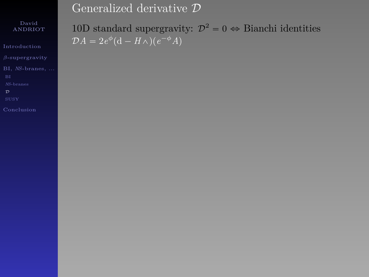[Introduction](#page-1-0)

BI, *NS*[-branes, ...](#page-67-0)

<span id="page-83-0"></span>

### 10D standard supergravity:  $\mathcal{D}^2 = 0 \Leftrightarrow$  Bianchi identities  $\mathcal{D}A = 2e^{\phi}(\mathbf{d} - H\wedge)(e^{-\phi}A)$

Generalized derivative D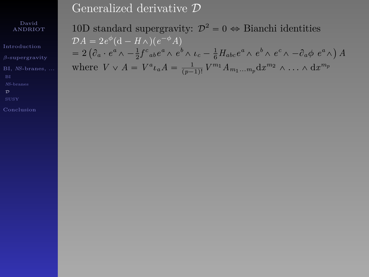#### David ANDRIOT

[Introduction](#page-1-0)

BI, *NS*[-branes, ...](#page-67-0)

10D standard supergravity:  $\mathcal{D}^2 = 0 \Leftrightarrow$  Bianchi identities  $\mathcal{D}A = 2e^{\phi}(\mathbf{d} - H\wedge)(e^{-\phi}A)$  $\begin{split} &D A = 2 e^{\alpha} \left( \mathrm{d} - H \wedge \right) \left( e^{-\alpha} A \right) \ & = 2 \left( \partial_a \cdot e^a \wedge - \tfrac{1}{2} f^c{}_{ab} e^a \wedge e^b \wedge \iota_c - \tfrac{1}{6} H_{abc} e^a \wedge e^b \wedge e^c \wedge - \partial_a \phi \right) \end{split}$ *A* where  $V \vee A = V^a \iota_a A = \frac{1}{(p-1)!} V^{m_1} A_{m_1...m_p} dx^{m_2} \wedge \ldots \wedge dx^{m_p}$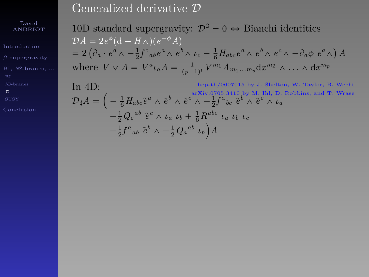David ANDRIOT

[Introduction](#page-1-0)

BI, *NS*[-branes, ...](#page-67-0)

10D standard supergravity:  $\mathcal{D}^2 = 0 \Leftrightarrow$  Bianchi identities  $\mathcal{D}A = 2e^{\phi}(\mathbf{d} - H\wedge)(e^{-\phi}A)$  $= 2$ `  $\begin{split} &\mathcal{C}_\text{a} \cdot e^a \wedge -\tfrac{1}{2} f^c_{\phantom{c}ab} e^a \wedge e^b \wedge \iota_c - \tfrac{1}{6} H_{abc} e^a \wedge e^b \wedge e^c \wedge - \partial_a \phi \,\, e^a \wedge) \end{split}$ *A* where  $V \vee A = V^a \iota_a A = \frac{1}{(p-1)!} V^{m_1} A_{m_1...m_p} dx^{m_2} \wedge \ldots \wedge dx^{m_p}$ 

In 4D:<br>  $\mathcal{D}_{\sharp}A = \left(-\frac{1}{6}H_{abc}\tilde{e}^{a}\wedge \tilde{e}^{b}\wedge \tilde{e}^{c}\wedge -\frac{1}{2}f^{a}{}_{bc}\tilde{e}^{b}\wedge \tilde{e}^{c}\wedge \iota_{a}\right.$   $\mathcal{D}_{\sharp}A = \left(-\frac{1}{6}H_{abc}\tilde{e}^{a}\wedge \tilde{e}^{b}\wedge \tilde{e}^{c}\wedge -\frac{1}{2}f^{a}{}_{bc}\tilde{e}^{b}\wedge \tilde{e}^{c}\wedge \iota_{a}\right)$  $-\frac{1}{6}H_{abc}\tilde{e}^a \wedge \tilde{e}^b \wedge \tilde{e}^c \wedge -\frac{1}{2}f^a{}_{bc}\tilde{e}^b \wedge \tilde{e}^c \wedge \iota_a$  $-\frac{1}{2}Q_c^{ab}$   $\tilde{e}^c \wedge \iota_a$   $\iota_b + \frac{1}{6}R^{abc}$   $\iota_a$   $\iota_b$   $\iota_c$  $-\frac{1}{2}f^a{}_a{}_b{}^c{}_b{}^b\wedge +\frac{1}{2}Q_a{}^{ab}{}^c{}_b{}_b\Big)A$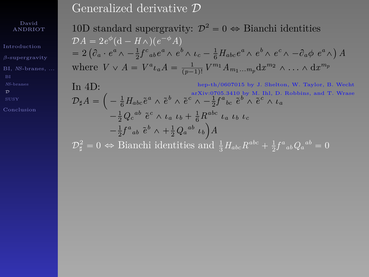David ANDRIOT

[Introduction](#page-1-0)

BI, *NS*[-branes, ...](#page-67-0)

[Conclusion](#page-100-0)

10D standard supergravity:  $\mathcal{D}^2 = 0 \Leftrightarrow$  Bianchi identities  $\mathcal{D}A = 2e^{\phi}(\mathbf{d} - H\wedge)(e^{-\phi}A)$  $\begin{split} &D A = 2 e^{\alpha} \left( \mathrm{d} - H \wedge \right) \left( e^{-\alpha} A \right) \ & = 2 \left( \partial_a \cdot e^a \wedge - \tfrac{1}{2} f^c{}_{ab} e^a \wedge e^b \wedge \iota_c - \tfrac{1}{6} H_{abc} e^a \wedge e^b \wedge e^c \wedge - \partial_a \phi \right) \end{split}$ *A* where  $V \vee A = V^a \iota_a A = \frac{1}{(p-1)!} V^{m_1} A_{m_1...m_p} dx^{m_2} \wedge \ldots \wedge dx^{m_p}$ 

In 4D:<br>  $\mathcal{D}_{\sharp}A = \left(-\frac{1}{6}H_{abc}\tilde{e}^{a}\wedge \tilde{e}^{b}\wedge \tilde{e}^{c}\wedge -\frac{1}{2}f^{a}{}_{bc}\tilde{e}^{b}\wedge \tilde{e}^{c}\wedge \iota_{a}\right.$   $\mathcal{D}_{\sharp}A = \left(-\frac{1}{6}H_{abc}\tilde{e}^{a}\wedge \tilde{e}^{b}\wedge \tilde{e}^{c}\wedge -\frac{1}{2}f^{a}{}_{bc}\tilde{e}^{b}\wedge \tilde{e}^{c}\wedge \iota_{a}\right)$  $-\frac{1}{6}H_{abc}\tilde{e}^a \wedge \tilde{e}^b \wedge \tilde{e}^c \wedge -\frac{1}{2}f^a{}_{bc}\tilde{e}^b \wedge \tilde{e}^c \wedge \iota_a$  $-\frac{1}{2}Q_c^{ab}$   $\tilde{e}^c \wedge \iota_a$   $\iota_b + \frac{1}{6}R^{abc}$   $\iota_a$   $\iota_b$   $\iota_c$  $-\frac{1}{2}f^a{}_a{}_b{}^c{}_b{}^b\wedge +\frac{1}{2}Q_a{}^{ab}{}^c{}_b{}_b\Big)A$  $\mathcal{D}_{\sharp}^2 = 0 \Leftrightarrow$  Bianchi identities and  $\frac{1}{3}H_{abc}R^{abc} + \frac{1}{2}f^a{}_{ab}Q_a{}^{ab} = 0$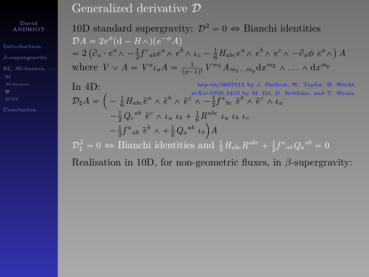#### David ANDRIOT

[Introduction](#page-1-0)

BI, *NS*[-branes, ...](#page-67-0)

 $\mathcal{D}$  $\mathcal{D}$  $\mathcal{D}$ 

[Conclusion](#page-100-0)

10D standard supergravity:  $\mathcal{D}^2 = 0 \Leftrightarrow$  Bianchi identities  $\mathcal{D}A = 2e^{\phi}(\mathbf{d} - H\wedge)(e^{-\phi}A)$  $\begin{split} &D A = 2 e^{\alpha} \left( \mathrm{d} - H \wedge \right) \left( e^{-\alpha} A \right) \ & = 2 \left( \partial_a \cdot e^a \wedge - \tfrac{1}{2} f^c{}_{ab} e^a \wedge e^b \wedge \iota_c - \tfrac{1}{6} H_{abc} e^a \wedge e^b \wedge e^c \wedge - \partial_a \phi \right) \end{split}$ *A* where  $V \vee A = V^a \iota_a A = \frac{1}{(p-1)!} V^{m_1} A_{m_1...m_p} dx^{m_2} \wedge \ldots \wedge dx^{m_p}$ 

In 4D:<br>  $\mathcal{D}_{\sharp}A = \left(-\frac{1}{6}H_{abc}\tilde{e}^{a}\wedge \tilde{e}^{b}\wedge \tilde{e}^{c}\wedge -\frac{1}{2}f^{a}{}_{bc}\tilde{e}^{b}\wedge \tilde{e}^{c}\wedge \iota_{a}\right.$   $\mathcal{D}_{\sharp}A = \left(-\frac{1}{6}H_{abc}\tilde{e}^{a}\wedge \tilde{e}^{b}\wedge \tilde{e}^{c}\wedge -\frac{1}{2}f^{a}{}_{bc}\tilde{e}^{b}\wedge \tilde{e}^{c}\wedge \iota_{a}\right)$  $-\frac{1}{6}H_{abc}\tilde{e}^a \wedge \tilde{e}^b \wedge \tilde{e}^c \wedge -\frac{1}{2}f^a{}_{bc}\tilde{e}^b \wedge \tilde{e}^c \wedge \iota_a$  $-\frac{1}{2}Q_c^{ab}$   $\tilde{e}^c \wedge \iota_a$   $\iota_b + \frac{1}{6}R^{abc}$   $\iota_a$   $\iota_b$   $\iota_c$  $-\frac{1}{2}f^a{}_a{}_b{}^c{}_b{}^b\wedge +\frac{1}{2}Q_a{}^{ab}{}^c{}_b{}_b\Big)A$  $\mathcal{D}_{\sharp}^2 = 0 \Leftrightarrow$  Bianchi identities and  $\frac{1}{3}H_{abc}R^{abc} + \frac{1}{2}f^a{}_{ab}Q_a{}^{ab} = 0$ 

Realisation in 10D, for non-geometric fluxes, in *β*-supergravity: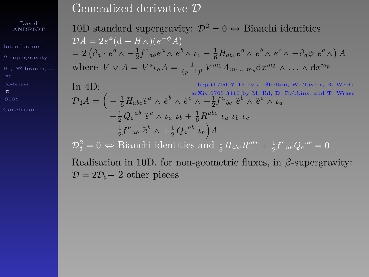#### David ANDRIOT

[Introduction](#page-1-0)

BI, *NS*[-branes, ...](#page-67-0)

 $\mathcal{D}$  $\mathcal{D}$  $\mathcal{D}$ 

[Conclusion](#page-100-0)

10D standard supergravity:  $\mathcal{D}^2 = 0 \Leftrightarrow$  Bianchi identities  $\mathcal{D}A = 2e^{\phi}(\mathbf{d} - H\wedge)(e^{-\phi}A)$  $\begin{split} &D A = 2 e^{\alpha} \left( \mathrm{d} - H \wedge \right) \left( e^{-\alpha} A \right) \ & = 2 \left( \partial_a \cdot e^a \wedge - \tfrac{1}{2} f^c{}_{ab} e^a \wedge e^b \wedge \iota_c - \tfrac{1}{6} H_{abc} e^a \wedge e^b \wedge e^c \wedge - \partial_a \phi \right) \end{split}$ *A* where  $V \vee A = V^a \iota_a A = \frac{1}{(p-1)!} V^{m_1} A_{m_1...m_p} dx^{m_2} \wedge \ldots \wedge dx^{m_p}$ 

In 4D:<br>  $\mathcal{D}_{\sharp}A = \left(-\frac{1}{6}H_{abc}\tilde{e}^{a}\wedge \tilde{e}^{b}\wedge \tilde{e}^{c}\wedge -\frac{1}{2}f^{a}{}_{bc}\tilde{e}^{b}\wedge \tilde{e}^{c}\wedge \iota_{a}\right.$   $\mathcal{D}_{\sharp}A = \left(-\frac{1}{6}H_{abc}\tilde{e}^{a}\wedge \tilde{e}^{b}\wedge \tilde{e}^{c}\wedge -\frac{1}{2}f^{a}{}_{bc}\tilde{e}^{b}\wedge \tilde{e}^{c}\wedge \iota_{a}\right)$  $-\frac{1}{6}H_{abc}\tilde{e}^a \wedge \tilde{e}^b \wedge \tilde{e}^c \wedge -\frac{1}{2}f^a{}_{bc}\tilde{e}^b \wedge \tilde{e}^c \wedge \iota_a$  $-\frac{1}{2}Q_c^{ab}$   $\tilde{e}^c \wedge \iota_a$   $\iota_b + \frac{1}{6}R^{abc}$   $\iota_a$   $\iota_b$   $\iota_c$  $-\frac{1}{2}f^a{}_a{}_b{}^c{}_b{}^b\wedge +\frac{1}{2}Q_a{}^{ab}{}^c{}_b{}_b\Big)A$  $\mathcal{D}_{\sharp}^2 = 0 \Leftrightarrow$  Bianchi identities and  $\frac{1}{3}H_{abc}R^{abc} + \frac{1}{2}f^a{}_{ab}Q_a{}^{ab} = 0$ 

Realisation in 10D, for non-geometric fluxes, in *β*-supergravity:  $\mathcal{D} = 2\mathcal{D}_{\text{H}} + 2$  other pieces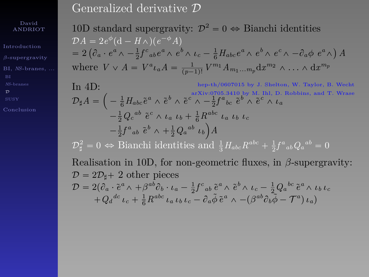David ANDRIOT

[Introduction](#page-1-0)

BI, *NS*[-branes, ...](#page-67-0)

 $\mathcal{D}$  $\mathcal{D}$  $\mathcal{D}$ 

10D standard supergravity:  $\mathcal{D}^2 = 0 \Leftrightarrow$  Bianchi identities  $\mathcal{D}A = 2e^{\phi}(\mathbf{d} - H\wedge)(e^{-\phi}A)$  $\begin{split} &D A = 2 e^{\alpha} \left( \mathrm{d} - H \wedge \right) \left( e^{-\alpha} A \right) \ & = 2 \left( \partial_a \cdot e^a \wedge - \tfrac{1}{2} f^c{}_{ab} e^a \wedge e^b \wedge \iota_c - \tfrac{1}{6} H_{abc} e^a \wedge e^b \wedge e^c \wedge - \partial_a \phi \right) \end{split}$ *A* where  $V \vee A = V^a \iota_a A = \frac{1}{(p-1)!} V^{m_1} A_{m_1...m_p} dx^{m_2} \wedge \ldots \wedge dx^{m_p}$ 

In 4D:<br>  $\mathcal{D}_{\sharp}A = \left(-\frac{1}{6}H_{abc}\tilde{e}^{a}\wedge \tilde{e}^{b}\wedge \tilde{e}^{c}\wedge -\frac{1}{2}f^{a}{}_{bc}\tilde{e}^{b}\wedge \tilde{e}^{c}\wedge \iota_{a}\right.$   $\mathcal{D}_{\sharp}A = \left(-\frac{1}{6}H_{abc}\tilde{e}^{a}\wedge \tilde{e}^{b}\wedge \tilde{e}^{c}\wedge -\frac{1}{2}f^{a}{}_{bc}\tilde{e}^{b}\wedge \tilde{e}^{c}\wedge \iota_{a}\right)$  $-\frac{1}{6}H_{abc}\tilde{e}^a \wedge \tilde{e}^b \wedge \tilde{e}^c \wedge -\frac{1}{2}f^a{}_{bc}\tilde{e}^b \wedge \tilde{e}^c \wedge \iota_a$  $-\frac{1}{2}Q_c^{ab}$   $\tilde{e}^c \wedge \iota_a$   $\iota_b + \frac{1}{6}R^{abc}$   $\iota_a$   $\iota_b$   $\iota_c$  $-\frac{1}{2}f^a{}_a{}_b{}^c{}_b{}^b\wedge +\frac{1}{2}Q_a{}^{ab}{}^c{}_b{}_b\Big)A$  $\mathcal{D}_{\sharp}^2 = 0 \Leftrightarrow$  Bianchi identities and  $\frac{1}{3}H_{abc}R^{abc} + \frac{1}{2}f^a{}_{ab}Q_a{}^{ab} = 0$ Realisation in 10D, for non-geometric fluxes, in *β*-supergravity:  $\mathcal{D} = 2\mathcal{D}_{\text{H}} + 2$  other pieces  $\mathcal{D}=2(\partial_a\cdot\tilde{e}^a\wedge+\beta^{ab}\partial_b\cdot\iota_a-\frac{1}{2}f^c{}_{ab}\tilde{e}^a\wedge\tilde{e}^b\wedge\iota_c-\frac{1}{2}Q_a{}^{bc}\tilde{e}^a\wedge\iota_b\iota_c$ 

$$
+Q_d{}^{dc} \iota_c + \frac{1}{6} R^{abc} \iota_a \iota_b \iota_c - \partial_a \tilde{\phi} \tilde{e}^a \wedge -(\beta^{ab} \partial_b \tilde{\phi} - T^a) \iota_a)
$$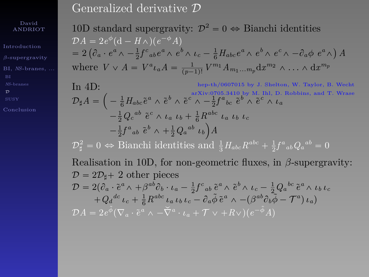David ANDRIOT

[Introduction](#page-1-0)

BI, *NS*[-branes, ...](#page-67-0)

[Conclusion](#page-100-0)

10D standard supergravity:  $\mathcal{D}^2 = 0 \Leftrightarrow$  Bianchi identities  $\mathcal{D}A = 2e^{\phi}(\mathbf{d} - H\wedge)(e^{-\phi}A)$  $\begin{split} &D A = 2 e^{\alpha} \left( \mathrm{d} - H \wedge \right) \left( e^{-\alpha} A \right) \ & = 2 \left( \partial_a \cdot e^a \wedge - \tfrac{1}{2} f^c{}_{ab} e^a \wedge e^b \wedge \iota_c - \tfrac{1}{6} H_{abc} e^a \wedge e^b \wedge e^c \wedge - \partial_a \phi \right) \end{split}$ *A* where  $V \vee A = V^a \iota_a A = \frac{1}{(p-1)!} V^{m_1} A_{m_1...m_p} dx^{m_2} \wedge \ldots \wedge dx^{m_p}$ 

In 4D:<br>  $\mathcal{D}_{\sharp}A = \left(-\frac{1}{6}H_{abc}\tilde{e}^{a}\wedge \tilde{e}^{b}\wedge \tilde{e}^{c}\wedge -\frac{1}{2}f^{a}{}_{bc}\tilde{e}^{b}\wedge \tilde{e}^{c}\wedge \iota_{a}\right.$   $\mathcal{D}_{\sharp}A = \left(-\frac{1}{6}H_{abc}\tilde{e}^{a}\wedge \tilde{e}^{b}\wedge \tilde{e}^{c}\wedge -\frac{1}{2}f^{a}{}_{bc}\tilde{e}^{b}\wedge \tilde{e}^{c}\wedge \iota_{a}\right)$  $-\frac{1}{6}H_{abc}\tilde{e}^a \wedge \tilde{e}^b \wedge \tilde{e}^c \wedge -\frac{1}{2}f^a{}_{bc}\tilde{e}^b \wedge \tilde{e}^c \wedge \iota_a$  $-\frac{1}{2}Q_c^{ab}$   $\tilde{e}^c \wedge \iota_a$   $\iota_b + \frac{1}{6}R^{abc}$   $\iota_a$   $\iota_b$   $\iota_c$  $-\frac{1}{2}f^a{}_a{}_b{}^c{}_b{}^b\wedge +\frac{1}{2}Q_a{}^{ab}{}^c{}_b{}_b\Big)A$  $\mathcal{D}_{\sharp}^2 = 0 \Leftrightarrow$  Bianchi identities and  $\frac{1}{3}H_{abc}R^{abc} + \frac{1}{2}f^a{}_{ab}Q_a{}^{ab} = 0$ Realisation in 10D, for non-geometric fluxes, in *β*-supergravity:  $\mathcal{D} = 2\mathcal{D}_{\text{H}} + 2$  other pieces  $\mathcal{D}=2(\partial_a\cdot\tilde{e}^a\wedge+\beta^{ab}\partial_b\cdot\iota_a-\frac{1}{2}f^c{}_{ab}\tilde{e}^a\wedge\tilde{e}^b\wedge\iota_c-\frac{1}{2}Q_a{}^{bc}\tilde{e}^a\wedge\iota_b\iota_c$  $+Q_d{}^{dc}\iota_c+\frac{1}{6}R^{abc}\iota_a\iota_b\iota_c-\partial_a\tilde{\phi}\,\tilde{e}^a\wedge-(\beta^{ab}\partial_b\tilde{\phi}-\mathcal{T}^a)\iota_a)$ 

 $\mathcal{D}A = 2e^{\tilde{\phi}}(\nabla_a \cdot \tilde{e}^a \wedge -\check{\nabla}^a \cdot \iota_a + \mathcal{T} \vee +R \vee)(e^{-\tilde{\phi}}A)$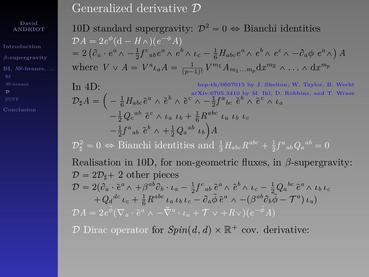David ANDRIOT

[Introduction](#page-1-0)

BI, *NS*[-branes, ...](#page-67-0)

[Conclusion](#page-100-0)

10D standard supergravity:  $\mathcal{D}^2 = 0 \Leftrightarrow$  Bianchi identities  $\mathcal{D}A = 2e^{\phi}(\mathbf{d} - H\wedge)(e^{-\phi}A)$  $\begin{split} &D A = 2 e^{\alpha} \left( \mathrm{d} - H \wedge \right) \left( e^{-\alpha} A \right) \ & = 2 \left( \partial_a \cdot e^a \wedge - \tfrac{1}{2} f^c{}_{ab} e^a \wedge e^b \wedge \iota_c - \tfrac{1}{6} H_{abc} e^a \wedge e^b \wedge e^c \wedge - \partial_a \phi \right) \end{split}$ *A* where  $V \vee A = V^a \iota_a A = \frac{1}{(p-1)!} V^{m_1} A_{m_1...m_p} dx^{m_2} \wedge \ldots \wedge dx^{m_p}$ 

In 4D:<br>  $\mathcal{D}_{\sharp}A = \left(-\frac{1}{6}H_{abc}\tilde{e}^{a}\wedge \tilde{e}^{b}\wedge \tilde{e}^{c}\wedge -\frac{1}{2}f^{a}{}_{bc}\tilde{e}^{b}\wedge \tilde{e}^{c}\wedge \iota_{a}\right.$   $\mathcal{D}_{\sharp}A = \left(-\frac{1}{6}H_{abc}\tilde{e}^{a}\wedge \tilde{e}^{b}\wedge \tilde{e}^{c}\wedge -\frac{1}{2}f^{a}{}_{bc}\tilde{e}^{b}\wedge \tilde{e}^{c}\wedge \iota_{a}\right)$  $-\frac{1}{6}H_{abc}\tilde{e}^a \wedge \tilde{e}^b \wedge \tilde{e}^c \wedge -\frac{1}{2}f^a{}_{bc}\tilde{e}^b \wedge \tilde{e}^c \wedge \iota_a$  $-\frac{1}{2}Q_c^{ab}$   $\tilde{e}^c \wedge \iota_a$   $\iota_b + \frac{1}{6}R^{abc}$   $\iota_a$   $\iota_b$   $\iota_c$  $-\frac{1}{2}f^a{}_a{}_b{}^c{}_b{}^b\wedge +\frac{1}{2}Q_a{}^{ab}{}^c{}_b{}_b\Big)A$  $\mathcal{D}_{\sharp}^2 = 0 \Leftrightarrow$  Bianchi identities and  $\frac{1}{3}H_{abc}R^{abc} + \frac{1}{2}f^a{}_{ab}Q_a{}^{ab} = 0$ Realisation in 10D, for non-geometric fluxes, in *β*-supergravity:  $\mathcal{D} = 2\mathcal{D}_{\text{H}} + 2$  other pieces  $\mathcal{D}=2(\partial_a\cdot\tilde{e}^a\wedge+\beta^{ab}\partial_b\cdot\iota_a-\frac{1}{2}f^c{}_{ab}\tilde{e}^a\wedge\tilde{e}^b\wedge\iota_c-\frac{1}{2}Q_a{}^{bc}\tilde{e}^a\wedge\iota_b\iota_c$  $+Q_d{}^{dc}\iota_c+\frac{1}{6}R^{abc}\iota_a\iota_b\iota_c-\partial_a\tilde{\phi}\,\tilde{e}^a\wedge-(\beta^{ab}\partial_b\tilde{\phi}-\mathcal{T}^a)\iota_a)$  $\mathcal{D}A = 2e^{\tilde{\phi}}(\nabla_a \cdot \tilde{e}^a \wedge -\check{\nabla}^a \cdot \iota_a + \mathcal{T} \vee +R \vee)(e^{-\tilde{\phi}}A)$ 

D Dirac operator for  $Spin(d, d) \times \mathbb{R}^+$  cov. derivative: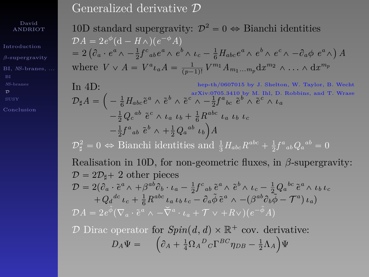David ANDRIOT

[Introduction](#page-1-0)

BI, *NS*[-branes, ...](#page-67-0)

 $\mathcal{D}$  $\mathcal{D}$  $\mathcal{D}$ 

[Conclusion](#page-100-0)

10D standard supergravity:  $\mathcal{D}^2 = 0 \Leftrightarrow$  Bianchi identities  $\mathcal{D}A = 2e^{\phi}(\mathbf{d} - H\wedge)(e^{-\phi}A)$  $\begin{split} &D A = 2 e^{\alpha} \left( \mathrm{d} - H \wedge \right) \left( e^{-\alpha} A \right) \ & = 2 \left( \partial_a \cdot e^a \wedge - \tfrac{1}{2} f^c{}_{ab} e^a \wedge e^b \wedge \iota_c - \tfrac{1}{6} H_{abc} e^a \wedge e^b \wedge e^c \wedge - \partial_a \phi \right) \end{split}$ *A* where  $V \vee A = V^a \iota_a A = \frac{1}{(p-1)!} V^{m_1} A_{m_1...m_p} dx^{m_2} \wedge \ldots \wedge dx^{m_p}$ 

In 4D:<br>  $\mathcal{D}_{\sharp}A = \left(-\frac{1}{6}H_{abc}\tilde{e}^{a}\wedge \tilde{e}^{b}\wedge \tilde{e}^{c}\wedge -\frac{1}{2}f^{a}{}_{bc}\tilde{e}^{b}\wedge \tilde{e}^{c}\wedge \iota_{a}\right.$   $\mathcal{D}_{\sharp}A = \left(-\frac{1}{6}H_{abc}\tilde{e}^{a}\wedge \tilde{e}^{b}\wedge \tilde{e}^{c}\wedge -\frac{1}{2}f^{a}{}_{bc}\tilde{e}^{b}\wedge \tilde{e}^{c}\wedge \iota_{a}\right)$  $-\frac{1}{6}H_{abc}\tilde{e}^a \wedge \tilde{e}^b \wedge \tilde{e}^c \wedge -\frac{1}{2}f^a{}_{bc}\tilde{e}^b \wedge \tilde{e}^c \wedge \iota_a$  $-\frac{1}{2}Q_c^{ab}$   $\tilde{e}^c \wedge \iota_a$   $\iota_b + \frac{1}{6}R^{abc}$   $\iota_a$   $\iota_b$   $\iota_c$  $-\frac{1}{2}f^a{}_a{}_b{}^c{}_b{}^b\wedge +\frac{1}{2}Q_a{}^{ab}{}^c{}_b{}_b\Big)A$  $\mathcal{D}_{\sharp}^2 = 0 \Leftrightarrow$  Bianchi identities and  $\frac{1}{3}H_{abc}R^{abc} + \frac{1}{2}f^a{}_{ab}Q_a{}^{ab} = 0$ Realisation in 10D, for non-geometric fluxes, in *β*-supergravity:  $\mathcal{D} = 2\mathcal{D}_{\text{H}} + 2$  other pieces  $\mathcal{D}=2(\partial_a\cdot\tilde{e}^a\wedge+\beta^{ab}\partial_b\cdot\iota_a-\frac{1}{2}f^c{}_{ab}\tilde{e}^a\wedge\tilde{e}^b\wedge\iota_c-\frac{1}{2}Q_a{}^{bc}\tilde{e}^a\wedge\iota_b\iota_c$  $+Q_d{}^{dc}\iota_c+\frac{1}{6}R^{abc}\iota_a\iota_b\iota_c-\partial_a\tilde{\phi}\,\tilde{e}^a\wedge-(\beta^{ab}\partial_b\tilde{\phi}-\mathcal{T}^a)\iota_a)$  $\mathcal{D}A = 2e^{\tilde{\phi}}(\nabla_a \cdot \tilde{e}^a \wedge -\check{\nabla}^a \cdot \iota_a + \mathcal{T} \vee +R \vee)(e^{-\tilde{\phi}}A)$ 

D Dirac operator for  $Spin(d, d) \times \mathbb{R}^+$  cov. derivative:  $D_A \Psi = \left( \partial_A + \frac{1}{4} \Omega_A{}^D{}_C \Gamma^{BC} \eta_{DB} - \frac{1}{2} \Lambda_A \right) \Psi$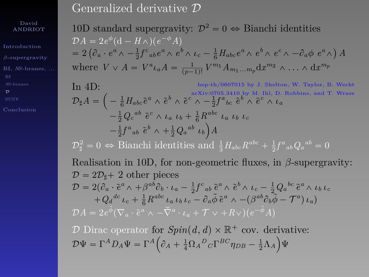David ANDRIOT

[Introduction](#page-1-0)

BI, *NS*[-branes, ...](#page-67-0)

 $\mathcal{D}$  $\mathcal{D}$  $\mathcal{D}$ 

[Conclusion](#page-100-0)

10D standard supergravity:  $\mathcal{D}^2 = 0 \Leftrightarrow$  Bianchi identities  $\mathcal{D}A = 2e^{\phi}(\mathbf{d} - H\wedge)(e^{-\phi}A)$  $\begin{split} &D A = 2 e^{\alpha} \left( \mathbf{d} - H \wedge \right) \left( e^{-\alpha} A \right) \ & = 2 \left( \partial_a \cdot e^a \wedge - \tfrac{1}{2} f^c{}_{ab} e^a \wedge e^b \wedge \iota_c - \tfrac{1}{6} H_{abc} e^a \wedge e^b \wedge e^c \wedge - \partial_a \phi \right) \end{split}$ *A* where  $V \vee A = V^a \iota_a A = \frac{1}{(p-1)!} V^{m_1} A_{m_1...m_p} dx^{m_2} \wedge \ldots \wedge dx^{m_p}$ 

In 4D:<br>  $\mathcal{D}_{\sharp}A = \left(-\frac{1}{6}H_{abc}\tilde{e}^{a}\wedge \tilde{e}^{b}\wedge \tilde{e}^{c}\wedge -\frac{1}{2}f^{a}{}_{bc}\tilde{e}^{b}\wedge \tilde{e}^{c}\wedge \iota_{a}\right.$   $\mathcal{D}_{\sharp}A = \left(-\frac{1}{6}H_{abc}\tilde{e}^{a}\wedge \tilde{e}^{b}\wedge \tilde{e}^{c}\wedge -\frac{1}{2}f^{a}{}_{bc}\tilde{e}^{b}\wedge \tilde{e}^{c}\wedge \iota_{a}\right)$  $-\frac{1}{6}H_{abc}\tilde{e}^a \wedge \tilde{e}^b \wedge \tilde{e}^c \wedge -\frac{1}{2}f^a{}_{bc}\tilde{e}^b \wedge \tilde{e}^c \wedge \iota_a$  $-\frac{1}{2}Q_c^{ab}$   $\tilde{e}^c \wedge \iota_a$   $\iota_b + \frac{1}{6}R^{abc}$   $\iota_a$   $\iota_b$   $\iota_c$  $-\frac{1}{2}f^a{}_a{}_b{}^c{}_b{}^b\wedge +\frac{1}{2}Q_a{}^{ab}{}^c{}_b{}_b\Big)A$  $\mathcal{D}_{\sharp}^2 = 0 \Leftrightarrow$  Bianchi identities and  $\frac{1}{3}H_{abc}R^{abc} + \frac{1}{2}f^a{}_{ab}Q_a{}^{ab} = 0$ Realisation in 10D, for non-geometric fluxes, in *β*-supergravity:  $\mathcal{D} = 2\mathcal{D}_{\text{H}} + 2$  other pieces  $\mathcal{D}=2(\partial_a\cdot\tilde{e}^a\wedge+\beta^{ab}\partial_b\cdot\iota_a-\frac{1}{2}f^c{}_{ab}\tilde{e}^a\wedge\tilde{e}^b\wedge\iota_c-\frac{1}{2}Q_a{}^{bc}\tilde{e}^a\wedge\iota_b\iota_c$  $+Q_d{}^{dc}\iota_c+\frac{1}{6}R^{abc}\iota_a\iota_b\iota_c-\partial_a\tilde{\phi}\,\tilde{e}^a\wedge-(\beta^{ab}\partial_b\tilde{\phi}-\mathcal{T}^a)\iota_a)$  $\mathcal{D}A = 2e^{\tilde{\phi}}(\nabla_a \cdot \tilde{e}^a \wedge -\check{\nabla}^a \cdot \iota_a + \mathcal{T} \vee +R \vee)(e^{-\tilde{\phi}}A)$ 

D Dirac operator for  $Spin(d, d) \times \mathbb{R}^+$  cov. derivative:  $\mathcal{D}\Psi = \Gamma^A D_A \Psi = \Gamma^A \Bigl( \partial_A + \frac{1}{4} \Omega_A{}^D{}_C \Gamma^{BC} \eta_{DB} - \frac{1}{2} \Lambda_A \Bigr) \Psi$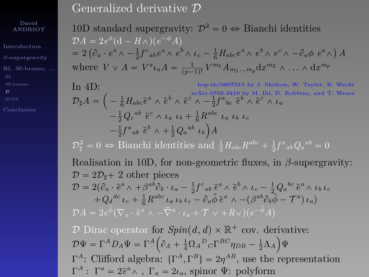David ANDRIOT

BI, *NS*[-branes, ...](#page-67-0)

[Conclusion](#page-100-0)

10D standard supergravity:  $\mathcal{D}^2 = 0 \Leftrightarrow$  Bianchi identities  $\mathcal{D}A = 2e^{\phi}(\mathbf{d} - H\wedge)(e^{-\phi}A)$  $\begin{split} &D A = 2 e^{\alpha} \left( \mathbf{d} - H \wedge \right) \left( e^{-\alpha} A \right) \ & = 2 \left( \partial_a \cdot e^a \wedge - \tfrac{1}{2} f^c{}_{ab} e^a \wedge e^b \wedge \iota_c - \tfrac{1}{6} H_{abc} e^a \wedge e^b \wedge e^c \wedge - \partial_a \phi \right) \end{split}$ *A* where  $V \vee A = V^a \iota_a A = \frac{1}{(p-1)!} V^{m_1} A_{m_1...m_p} dx^{m_2} \wedge \ldots \wedge dx^{m_p}$ 

In 4D:<br>  $\mathcal{D}_{\sharp}A = \left(-\frac{1}{6}H_{abc}\tilde{e}^{a}\wedge \tilde{e}^{b}\wedge \tilde{e}^{c}\wedge -\frac{1}{2}f^{a}{}_{bc}\tilde{e}^{b}\wedge \tilde{e}^{c}\wedge \iota_{a}\right.$   $\mathcal{D}_{\sharp}A = \left(-\frac{1}{6}H_{abc}\tilde{e}^{a}\wedge \tilde{e}^{b}\wedge \tilde{e}^{c}\wedge -\frac{1}{2}f^{a}{}_{bc}\tilde{e}^{b}\wedge \tilde{e}^{c}\wedge \iota_{a}\right)$  $-\frac{1}{6}H_{abc}\tilde{e}^a \wedge \tilde{e}^b \wedge \tilde{e}^c \wedge -\frac{1}{2}f^a{}_{bc}\tilde{e}^b \wedge \tilde{e}^c \wedge \iota_a$  $-\frac{1}{2}Q_c^{ab}$   $\tilde{e}^c \wedge \iota_a$   $\iota_b + \frac{1}{6}R^{abc}$   $\iota_a$   $\iota_b$   $\iota_c$  $-\frac{1}{2}f^a{}_a{}_b{}^c{}_b{}^b\wedge +\frac{1}{2}Q_a{}^{ab}{}^c{}_b{}_b\Big)A$  $\mathcal{D}_{\sharp}^2 = 0 \Leftrightarrow$  Bianchi identities and  $\frac{1}{3}H_{abc}R^{abc} + \frac{1}{2}f^a{}_{ab}Q_a{}^{ab} = 0$ Realisation in 10D, for non-geometric fluxes, in *β*-supergravity:  $\mathcal{D} = 2\mathcal{D}_{\text{H}} + 2$  other pieces  $\mathcal{D}=2(\partial_a\cdot\tilde{e}^a\wedge+\beta^{ab}\partial_b\cdot\iota_a-\frac{1}{2}f^c{}_{ab}\tilde{e}^a\wedge\tilde{e}^b\wedge\iota_c-\frac{1}{2}Q_a{}^{bc}\tilde{e}^a\wedge\iota_b\iota_c$  $+Q_d{}^{dc}\iota_c+\frac{1}{6}R^{abc}\iota_a\iota_b\iota_c-\partial_a\tilde{\phi}\,\tilde{e}^a\wedge-(\beta^{ab}\partial_b\tilde{\phi}-\mathcal{T}^a)\iota_a)$  $\mathcal{D}A = 2e^{\tilde{\phi}}(\nabla_a \cdot \tilde{e}^a \wedge -\check{\nabla}^a \cdot \iota_a + \mathcal{T} \vee +R \vee)(e^{-\tilde{\phi}}A)$ 

D Dirac operator for  $Spin(d, d) \times \mathbb{R}^+$  cov. derivative:  $\mathcal{D}\Psi = \Gamma^A D_A \Psi = \Gamma^A \Bigl( \partial_A + \frac{1}{4} \Omega_A{}^D{}_C \Gamma^{BC} \eta_{DB} - \frac{1}{2} \Lambda_A \Bigr) \Psi$ Γ<sup>*A*</sup>: Clifford algebra: {Γ<sup>*A*</sup>, Γ<sup>*B*</sup>} = 2η<sup>*AB*</sup>, use the representation  $\Gamma^A$ : Γ<sup>*a*</sup> = 2 $\tilde{e}^a$  ∧, Γ<sub>*a*</sub> = 2*ι<sub>a</sub>*, spinor Ψ: polyform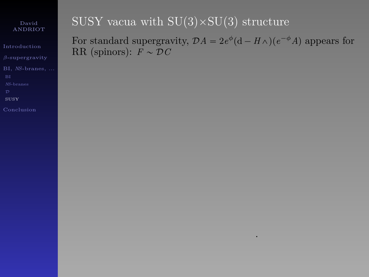[Introduction](#page-1-0)

BI, *NS*[-branes, ...](#page-67-0)

[SUSY](#page-95-0)

<span id="page-95-0"></span>

# SUSY vacua with  $SU(3) \times SU(3)$  structure

For standard supergravity,  $\mathcal{D}A = 2e^{\phi}(\mathbf{d} - H\wedge)(e^{-\phi}A)$  appears for RR (spinors):  $F \sim \mathcal{D}C$ 

.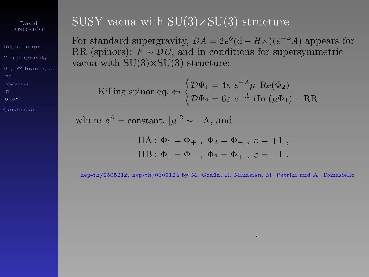[Introduction](#page-1-0) BI, *NS*[-branes, ...](#page-67-0)

[SUSY](#page-95-0)

[Conclusion](#page-100-0)

## SUSY vacua with  $SU(3) \times SU(3)$  structure

For standard supergravity,  $\mathcal{D}A = 2e^{\phi}(\mathbf{d} - H\wedge)(e^{-\phi}A)$  appears for RR (spinors):  $F \sim \mathcal{D}C$ , and in conditions for supersymmetric vacua with  $SU(3) \times SU(3)$  structure:

Killing spinor eq. 
$$
\Leftrightarrow
$$
 
$$
\begin{cases} \mathcal{D}\Phi_1 = 4\varepsilon \ e^{-A}\mu \ \text{Re}(\Phi_2) \\ \mathcal{D}\Phi_2 = 6\varepsilon \ e^{-A} \ \text{i} \ \text{Im}(\overline{\mu}\Phi_1) + \text{RR} \end{cases}
$$

where  $e^A$  = constant,  $|\mu|^2 \sim -\Lambda$ , and

$$
IIA: \Phi_1 = \Phi_+, \ \Phi_2 = \Phi_-, \ \varepsilon = +1 ,
$$
  

$$
IIB: \Phi_1 = \Phi_-, \ \Phi_2 = \Phi_+, \ \varepsilon = -1 .
$$

hep-th/0505212, hep-th/0609124 by M. Graña, R. Minasian, M. Petrini and A. Tomasiello

.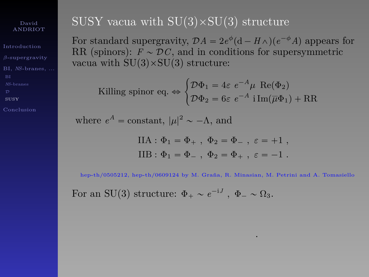[Introduction](#page-1-0) BI, *NS*[-branes, ...](#page-67-0)

[SUSY](#page-95-0)

[Conclusion](#page-100-0)

## SUSY vacua with  $SU(3) \times SU(3)$  structure

For standard supergravity,  $\mathcal{D}A = 2e^{\phi}(\mathbf{d} - H\wedge)(e^{-\phi}A)$  appears for RR (spinors):  $F \sim \mathcal{D}C$ , and in conditions for supersymmetric vacua with  $SU(3) \times SU(3)$  structure:

Killing spinor eq. 
$$
\Leftrightarrow
$$
 
$$
\begin{cases} \mathcal{D}\Phi_1 = 4\varepsilon \ e^{-A}\mu \ \text{Re}(\Phi_2) \\ \mathcal{D}\Phi_2 = 6\varepsilon \ e^{-A} \ \text{i} \ \text{Im}(\overline{\mu}\Phi_1) + \text{RR} \end{cases}
$$

where  $e^A$  = constant,  $|\mu|^2 \sim -\Lambda$ , and

$$
IIA : \Phi_1 = \Phi_+, \ \Phi_2 = \Phi_-, \ \varepsilon = +1 ,
$$
  

$$
IIB : \Phi_1 = \Phi_-, \ \Phi_2 = \Phi_+, \ \varepsilon = -1 .
$$

hep-th/0505212, hep-th/0609124 by M. Graña, R. Minasian, M. Petrini and A. Tomasiello

.

For an SU(3) structure:  $\Phi_+ \sim e^{-iJ}$ ,  $\Phi_- \sim \Omega_3$ .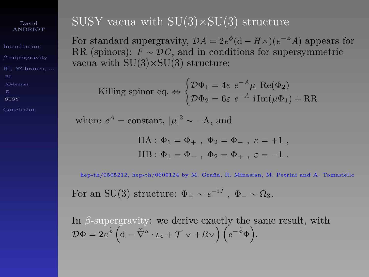[Introduction](#page-1-0) BI, *NS*[-branes, ...](#page-67-0)

[SUSY](#page-95-0)

## SUSY vacua with  $SU(3) \times SU(3)$  structure

For standard supergravity,  $\mathcal{D}A = 2e^{\phi}(\mathbf{d} - H\wedge)(e^{-\phi}A)$  appears for RR (spinors):  $F \sim \mathcal{D}C$ , and in conditions for supersymmetric vacua with  $SU(3) \times SU(3)$  structure:

Killing spinor eq. 
$$
\Leftrightarrow
$$
 
$$
\begin{cases} \mathcal{D}\Phi_1 = 4\varepsilon \ e^{-A}\mu \ \text{Re}(\Phi_2) \\ \mathcal{D}\Phi_2 = 6\varepsilon \ e^{-A} \ \text{i} \ \text{Im}(\overline{\mu}\Phi_1) + \text{RR} \end{cases}
$$

where  $e^A$  = constant,  $|\mu|^2 \sim -\Lambda$ , and

$$
IIA : \Phi_1 = \Phi_+, \ \Phi_2 = \Phi_-, \ \varepsilon = +1 ,
$$
  

$$
IIB : \Phi_1 = \Phi_-, \ \Phi_2 = \Phi_+, \ \varepsilon = -1 .
$$

hep-th/0505212, hep-th/0609124 by M. Graña, R. Minasian, M. Petrini and A. Tomasiello

For an SU(3) structure:  $\Phi_+ \sim e^{-iJ}$ ,  $\Phi_- \sim \Omega_3$ .

In  $\beta$ -supergravity: we derive exactly the same result, with  $\mathcal{D}\Phi = 2e^{\tilde{\phi}}\left(\mathrm{d}-\breve{\nabla}^a\cdot\iota_a+\mathcal{T}\vee+R\vee\right)\left(e^{-\tilde{\phi}}\Phi\right).$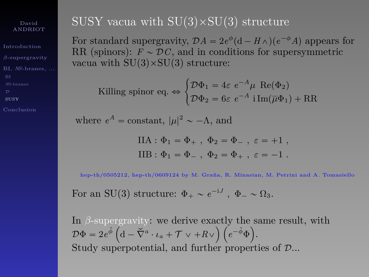[Introduction](#page-1-0) BI, *NS*[-branes, ...](#page-67-0)

[SUSY](#page-95-0)

[Conclusion](#page-100-0)

## SUSY vacua with  $SU(3) \times SU(3)$  structure

For standard supergravity,  $\mathcal{D}A = 2e^{\phi}(\mathbf{d} - H\wedge)(e^{-\phi}A)$  appears for RR (spinors):  $F \sim \mathcal{D}C$ , and in conditions for supersymmetric vacua with  $SU(3) \times SU(3)$  structure:

Killing spinor eq. 
$$
\Leftrightarrow
$$
 
$$
\begin{cases} \mathcal{D}\Phi_1 = 4\varepsilon \ e^{-A}\mu \ \text{Re}(\Phi_2) \\ \mathcal{D}\Phi_2 = 6\varepsilon \ e^{-A} \ \text{i} \ \text{Im}(\overline{\mu}\Phi_1) + \text{RR} \end{cases}
$$

where  $e^A$  = constant,  $|\mu|^2 \sim -\Lambda$ , and

$$
IIA : \Phi_1 = \Phi_+, \ \Phi_2 = \Phi_-, \ \varepsilon = +1 ,
$$
  

$$
IIB : \Phi_1 = \Phi_-, \ \Phi_2 = \Phi_+, \ \varepsilon = -1 .
$$

hep-th/0505212, hep-th/0609124 by M. Graña, R. Minasian, M. Petrini and A. Tomasiello

For an SU(3) structure:  $\Phi_+ \sim e^{-iJ}$ ,  $\Phi_- \sim \Omega_3$ .

In  $\beta$ -supergravity: we derive exactly the same result, with  $\mathcal{D}\Phi = 2e^{\tilde{\phi}}\left(\mathrm{d}-\breve{\nabla}^a\cdot\iota_a+\mathcal{T}\vee+R\vee\right)\left(e^{-\tilde{\phi}}\Phi\right).$ Study superpotential, and further properties of D...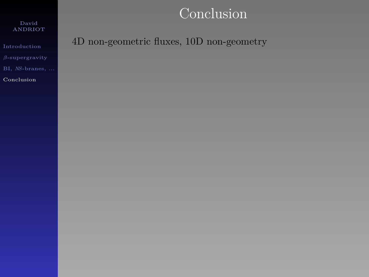David ANDRIOT

[Introduction](#page-1-0) BI, *NS*[-branes, ...](#page-67-0)

<span id="page-100-0"></span>[Conclusion](#page-100-0)

4D non-geometric fluxes, 10D non-geometry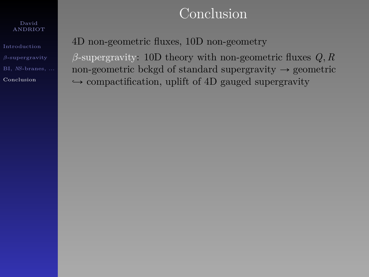#### David ANDRIOT

[Introduction](#page-1-0) BI, *NS*[-branes, ...](#page-67-0) [Conclusion](#page-100-0)

4D non-geometric fluxes, 10D non-geometry

*β*-supergravity: 10D theory with non-geometric fluxes *Q, R* non-geometric bckgd of standard supergravity  $\rightarrow$  geometric  $\rightarrow$  compactification, uplift of 4D gauged supergravity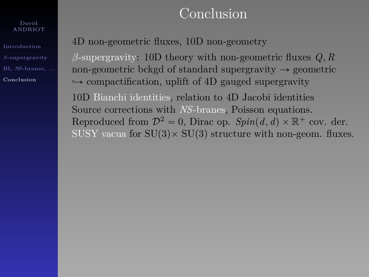#### David ANDRIOT

[Introduction](#page-1-0) BI, *NS*[-branes, ...](#page-67-0) [Conclusion](#page-100-0)

4D non-geometric fluxes, 10D non-geometry

*β*-supergravity: 10D theory with non-geometric fluxes *Q, R* non-geometric bckgd of standard supergravity  $\rightarrow$  geometric  $\rightarrow$  compactification, uplift of 4D gauged supergravity

10D Bianchi identities, relation to 4D Jacobi identities Source corrections with *NS*-branes, Poisson equations. Reproduced from  $\mathcal{D}^2 = 0$ , Dirac op.  $Spin(d, d) \times \mathbb{R}^+$  cov. der. SUSY vacua for  $SU(3) \times SU(3)$  structure with non-geom. fluxes.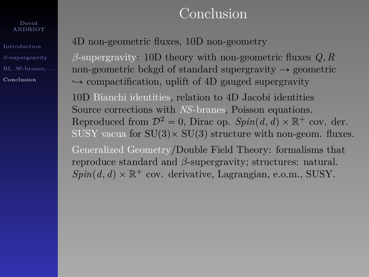#### David ANDRIOT

[Introduction](#page-1-0) BI, *NS*[-branes, ...](#page-67-0) [Conclusion](#page-100-0)

4D non-geometric fluxes, 10D non-geometry

*β*-supergravity: 10D theory with non-geometric fluxes *Q, R* non-geometric bckgd of standard supergravity  $\rightarrow$  geometric  $\rightarrow$  compactification, uplift of 4D gauged supergravity 10D Bianchi identities, relation to 4D Jacobi identities Source corrections with *NS*-branes, Poisson equations. Reproduced from  $\mathcal{D}^2 = 0$ , Dirac op.  $Spin(d, d) \times \mathbb{R}^+$  cov. der. SUSY vacua for  $SU(3) \times SU(3)$  structure with non-geom. fluxes. Generalized Geometry/Double Field Theory: formalisms that reproduce standard and *β*-supergravity; structures: natural.  $Spin(d, d) \times \mathbb{R}^+$  cov. derivative, Lagrangian, e.o.m., SUSY.